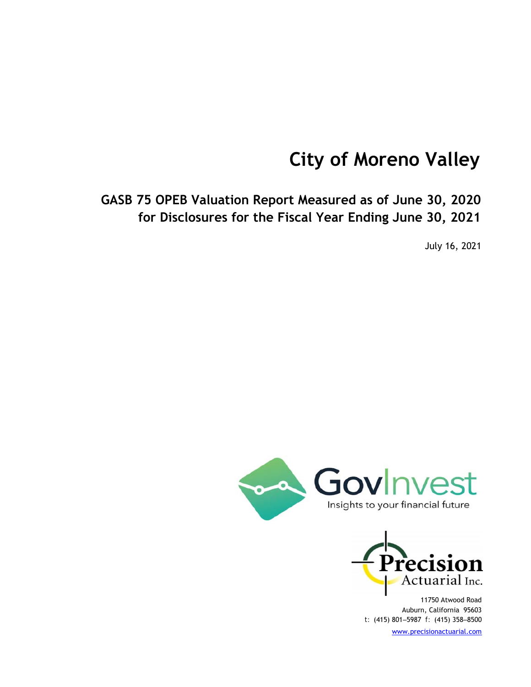# **City of Moreno Valley**

**GASB 75 OPEB Valuation Report Measured as of June 30, 2020 for Disclosures for the Fiscal Year Ending June 30, 2021**

July 16, 2021





11750 Atwood Road Auburn, California 95603 *t:* (415) 801‒5987 *f:* (415) 358‒8500 www.precisionactuarial.com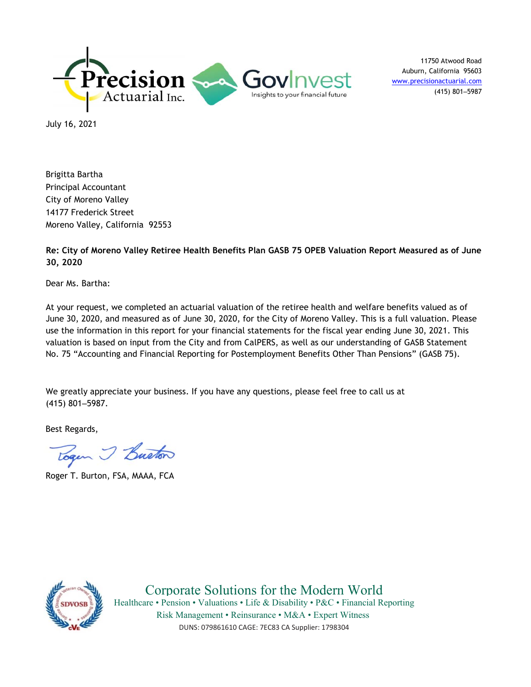

11750 Atwood Road Auburn, California 95603 www.precisionactuarial.com (415) 801‒5987

July 16, 2021

Brigitta Bartha Principal Accountant City of Moreno Valley 14177 Frederick Street Moreno Valley, California 92553

**Re: City of Moreno Valley Retiree Health Benefits Plan GASB 75 OPEB Valuation Report Measured as of June 30, 2020**

Dear Ms. Bartha:

At your request, we completed an actuarial valuation of the retiree health and welfare benefits valued as of June 30, 2020, and measured as of June 30, 2020, for the City of Moreno Valley. This is a full valuation. Please use the information in this report for your financial statements for the fiscal year ending June 30, 2021. This valuation is based on input from the City and from CalPERS, as well as our understanding of GASB Statement No. 75 "Accounting and Financial Reporting for Postemployment Benefits Other Than Pensions" (GASB 75).

We greatly appreciate your business. If you have any questions, please feel free to call us at (415) 801‒5987.

Best Regards,

Togen J Buston

Roger T. Burton, FSA, MAAA, FCA



Corporate Solutions for the Modern World Healthcare • Pension • Valuations • Life & Disability • P&C • Financial Reporting Risk Management • Reinsurance • M&A • Expert Witness DUNS: 079861610 CAGE: 7EC83 CA Supplier: 1798304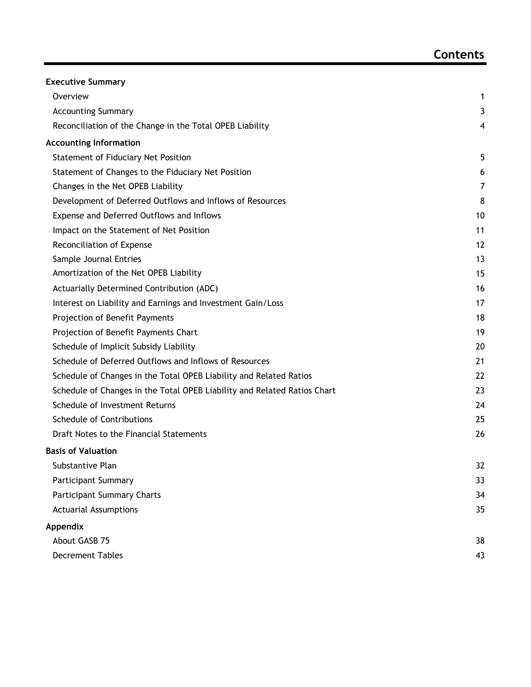| <b>Executive Summary</b>                                                 |    |
|--------------------------------------------------------------------------|----|
| Overview                                                                 | 1  |
| <b>Accounting Summary</b>                                                | 3  |
| Reconciliation of the Change in the Total OPEB Liability                 | 4  |
| <b>Accounting Information</b>                                            |    |
| <b>Statement of Fiduciary Net Position</b>                               | 5  |
| Statement of Changes to the Fiduciary Net Position                       | 6  |
| Changes in the Net OPEB Liability                                        | 7  |
| Development of Deferred Outflows and Inflows of Resources                | 8  |
| Expense and Deferred Outflows and Inflows                                | 10 |
| Impact on the Statement of Net Position                                  | 11 |
| Reconciliation of Expense                                                | 12 |
| Sample Journal Entries                                                   | 13 |
| Amortization of the Net OPEB Liability                                   | 15 |
| Actuarially Determined Contribution (ADC)                                | 16 |
| Interest on Liability and Earnings and Investment Gain/Loss              | 17 |
| Projection of Benefit Payments                                           | 18 |
| Projection of Benefit Payments Chart                                     | 19 |
| Schedule of Implicit Subsidy Liability                                   | 20 |
| Schedule of Deferred Outflows and Inflows of Resources                   | 21 |
| Schedule of Changes in the Total OPEB Liability and Related Ratios       | 22 |
| Schedule of Changes in the Total OPEB Liability and Related Ratios Chart | 23 |
| Schedule of Investment Returns                                           | 24 |
| <b>Schedule of Contributions</b>                                         | 25 |
| Draft Notes to the Financial Statements                                  | 26 |
| <b>Basis of Valuation</b>                                                |    |
| Substantive Plan                                                         | 32 |
| <b>Participant Summary</b>                                               | 33 |
| <b>Participant Summary Charts</b>                                        | 34 |
| <b>Actuarial Assumptions</b>                                             | 35 |
| Appendix                                                                 |    |
| About GASB 75                                                            | 38 |
| <b>Decrement Tables</b>                                                  | 43 |
|                                                                          |    |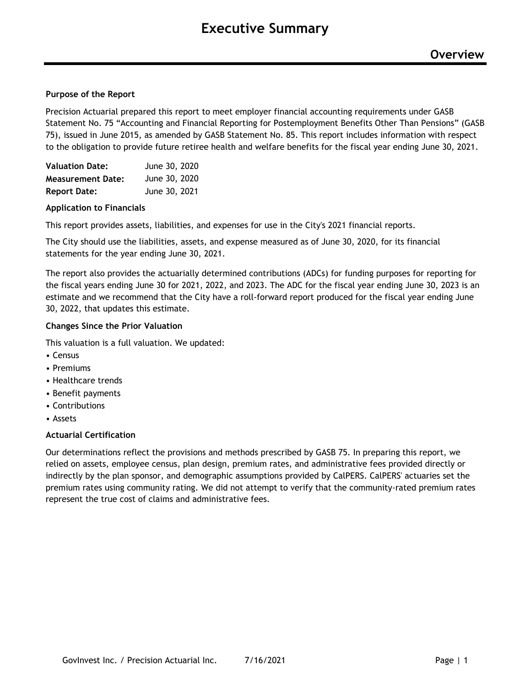#### **Purpose of the Report**

Precision Actuarial prepared this report to meet employer financial accounting requirements under GASB Statement No. 75 "Accounting and Financial Reporting for Postemployment Benefits Other Than Pensions" (GASB 75), issued in June 2015, as amended by GASB Statement No. 85. This report includes information with respect to the obligation to provide future retiree health and welfare benefits for the fiscal year ending June 30, 2021.

| <b>Valuation Date:</b>   | June 30, 2020 |
|--------------------------|---------------|
| <b>Measurement Date:</b> | June 30, 2020 |
| <b>Report Date:</b>      | June 30, 2021 |

#### **Application to Financials**

This report provides assets, liabilities, and expenses for use in the City's 2021 financial reports.

The City should use the liabilities, assets, and expense measured as of June 30, 2020, for its financial statements for the year ending June 30, 2021.

The report also provides the actuarially determined contributions (ADCs) for funding purposes for reporting for the fiscal years ending June 30 for 2021, 2022, and 2023. The ADC for the fiscal year ending June 30, 2023 is an estimate and we recommend that the City have a roll-forward report produced for the fiscal year ending June 30, 2022, that updates this estimate.

#### **Changes Since the Prior Valuation**

This valuation is a full valuation. We updated:

- Census
- Premiums
- Healthcare trends
- Benefit payments
- Contributions
- Assets

#### **Actuarial Certification**

Our determinations reflect the provisions and methods prescribed by GASB 75. In preparing this report, we relied on assets, employee census, plan design, premium rates, and administrative fees provided directly or indirectly by the plan sponsor, and demographic assumptions provided by CalPERS. CalPERS' actuaries set the premium rates using community rating. We did not attempt to verify that the community-rated premium rates represent the true cost of claims and administrative fees.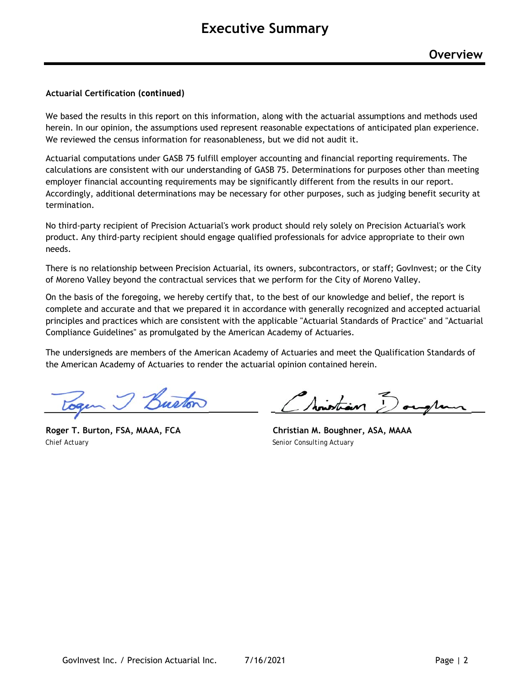#### **Actuarial Certification** *(continued)*

We based the results in this report on this information, along with the actuarial assumptions and methods used herein. In our opinion, the assumptions used represent reasonable expectations of anticipated plan experience. We reviewed the census information for reasonableness, but we did not audit it.

Actuarial computations under GASB 75 fulfill employer accounting and financial reporting requirements. The calculations are consistent with our understanding of GASB 75. Determinations for purposes other than meeting employer financial accounting requirements may be significantly different from the results in our report. Accordingly, additional determinations may be necessary for other purposes, such as judging benefit security at termination.

No third-party recipient of Precision Actuarial's work product should rely solely on Precision Actuarial's work product. Any third-party recipient should engage qualified professionals for advice appropriate to their own needs.

There is no relationship between Precision Actuarial, its owners, subcontractors, or staff; GovInvest; or the City of Moreno Valley beyond the contractual services that we perform for the City of Moreno Valley.

On the basis of the foregoing, we hereby certify that, to the best of our knowledge and belief, the report is complete and accurate and that we prepared it in accordance with generally recognized and accepted actuarial principles and practices which are consistent with the applicable "Actuarial Standards of Practice" and "Actuarial Compliance Guidelines" as promulgated by the American Academy of Actuaries.

The undersigneds are members of the American Academy of Actuaries and meet the Qualification Standards of the American Academy of Actuaries to render the actuarial opinion contained herein.

*Chief Actuary Senior Consulting Actuary*

Sintian Dougland

**Roger T. Burton, FSA, MAAA, FCA Christian M. Boughner, ASA, MAAA**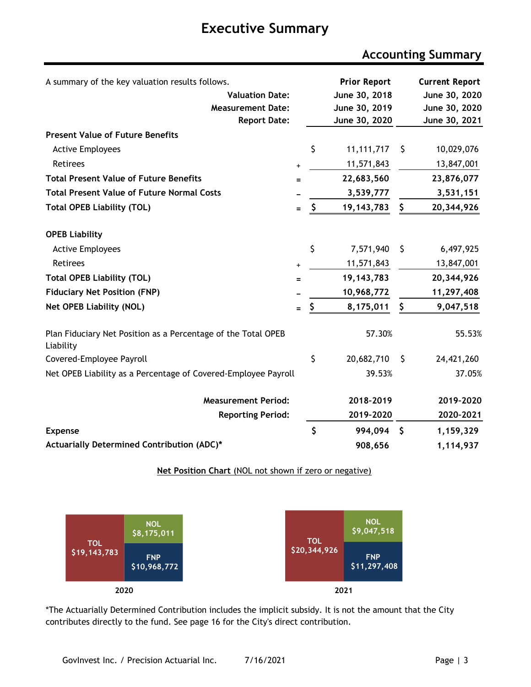# **Executive Summary**

# **Accounting Summary**

| A summary of the key valuation results follows.                            |           |     | <b>Prior Report</b> |    | <b>Current Report</b> |
|----------------------------------------------------------------------------|-----------|-----|---------------------|----|-----------------------|
| <b>Valuation Date:</b>                                                     |           |     | June 30, 2018       |    | June 30, 2020         |
| <b>Measurement Date:</b>                                                   |           |     | June 30, 2019       |    | June 30, 2020         |
| <b>Report Date:</b>                                                        |           |     | June 30, 2020       |    | June 30, 2021         |
| <b>Present Value of Future Benefits</b>                                    |           |     |                     |    |                       |
| <b>Active Employees</b>                                                    |           | \$  | 11, 111, 717        | \$ | 10,029,076            |
| Retirees                                                                   | $\ddot{}$ |     | 11,571,843          |    | 13,847,001            |
| <b>Total Present Value of Future Benefits</b>                              | $=$       |     | 22,683,560          |    | 23,876,077            |
| <b>Total Present Value of Future Normal Costs</b>                          |           |     | 3,539,777           |    | 3,531,151             |
| <b>Total OPEB Liability (TOL)</b>                                          | $=$       | \$  | 19, 143, 783        | \$ | 20,344,926            |
| <b>OPEB Liability</b>                                                      |           |     |                     |    |                       |
| <b>Active Employees</b>                                                    |           | \$  | 7,571,940           | \$ | 6,497,925             |
| Retirees                                                                   | +         |     | 11,571,843          |    | 13,847,001            |
| <b>Total OPEB Liability (TOL)</b>                                          | $=$       |     | 19, 143, 783        |    | 20,344,926            |
| <b>Fiduciary Net Position (FNP)</b>                                        |           |     | 10,968,772          |    | 11,297,408            |
| <b>Net OPEB Liability (NOL)</b>                                            | $=$       | \$. | 8,175,011           | \$ | 9,047,518             |
| Plan Fiduciary Net Position as a Percentage of the Total OPEB<br>Liability |           |     | 57.30%              |    | 55.53%                |
| Covered-Employee Payroll                                                   |           | \$  | 20,682,710          | \$ | 24,421,260            |
| Net OPEB Liability as a Percentage of Covered-Employee Payroll             |           |     | 39.53%              |    | 37.05%                |
| <b>Measurement Period:</b>                                                 |           |     | 2018-2019           |    | 2019-2020             |
| <b>Reporting Period:</b>                                                   |           |     | 2019-2020           |    | 2020-2021             |
| <b>Expense</b>                                                             |           | \$  | 994,094             | -S | 1,159,329             |
| Actuarially Determined Contribution (ADC)*                                 |           |     | 908,656             |    | 1,114,937             |



**2020 2021**

**Net Position Chart (NOL not shown if zero or negative)** 

\*The Actuarially Determined Contribution includes the implicit subsidy. It is not the amount that the City contributes directly to the fund. See page 16 for the City's direct contribution.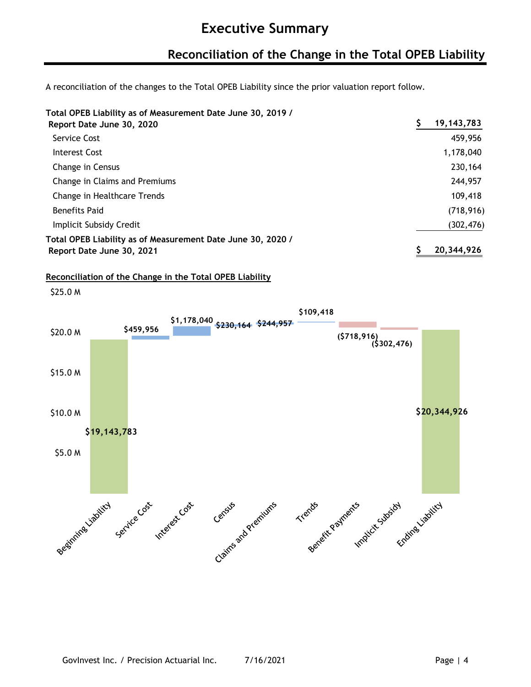### **Reconciliation of the Change in the Total OPEB Liability**

A reconciliation of the changes to the Total OPEB Liability since the prior valuation report follow.

**Total OPEB Liability as of Measurement Date June 30, 2019 /**

| Report Date June 30, 2020                                   | 19, 143, 783 |
|-------------------------------------------------------------|--------------|
| Service Cost                                                | 459,956      |
| Interest Cost                                               | 1,178,040    |
| Change in Census                                            | 230,164      |
| Change in Claims and Premiums                               | 244,957      |
| Change in Healthcare Trends                                 | 109,418      |
| <b>Benefits Paid</b>                                        | (718, 916)   |
| Implicit Subsidy Credit                                     | (302, 476)   |
| Total OPEB Liability as of Measurement Date June 30, 2020 / |              |
| Report Date June 30, 2021                                   | 20,344,926   |

**Reconciliation of the Change in the Total OPEB Liability**

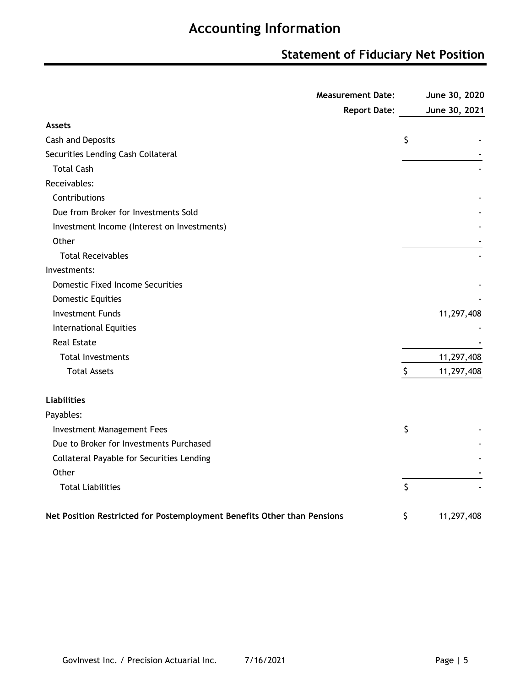### **Statement of Fiduciary Net Position**

|                                                                         | <b>Measurement Date:</b> | June 30, 2020    |
|-------------------------------------------------------------------------|--------------------------|------------------|
|                                                                         | <b>Report Date:</b>      | June 30, 2021    |
| <b>Assets</b>                                                           |                          |                  |
| Cash and Deposits                                                       |                          | \$               |
| Securities Lending Cash Collateral                                      |                          |                  |
| <b>Total Cash</b>                                                       |                          |                  |
| Receivables:                                                            |                          |                  |
| Contributions                                                           |                          |                  |
| Due from Broker for Investments Sold                                    |                          |                  |
| Investment Income (Interest on Investments)                             |                          |                  |
| Other                                                                   |                          |                  |
| <b>Total Receivables</b>                                                |                          |                  |
| Investments:                                                            |                          |                  |
| <b>Domestic Fixed Income Securities</b>                                 |                          |                  |
| <b>Domestic Equities</b>                                                |                          |                  |
| <b>Investment Funds</b>                                                 |                          | 11,297,408       |
| <b>International Equities</b>                                           |                          |                  |
| <b>Real Estate</b>                                                      |                          |                  |
| <b>Total Investments</b>                                                |                          | 11,297,408       |
| <b>Total Assets</b>                                                     |                          | \$<br>11,297,408 |
| <b>Liabilities</b>                                                      |                          |                  |
| Payables:                                                               |                          |                  |
| <b>Investment Management Fees</b>                                       |                          | \$               |
| Due to Broker for Investments Purchased                                 |                          |                  |
| Collateral Payable for Securities Lending                               |                          |                  |
| Other                                                                   |                          |                  |
| <b>Total Liabilities</b>                                                |                          | \$               |
| Net Position Restricted for Postemployment Benefits Other than Pensions |                          | \$<br>11,297,408 |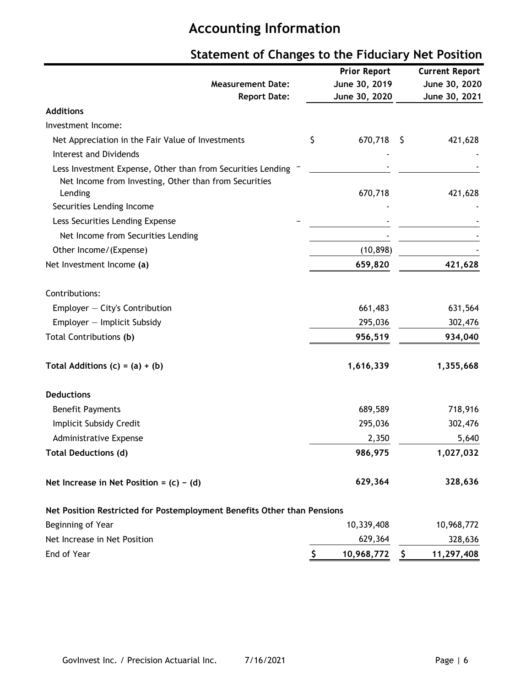|                                                                         | <b>Prior Report</b> |     | <b>Current Report</b> |
|-------------------------------------------------------------------------|---------------------|-----|-----------------------|
| <b>Measurement Date:</b>                                                | June 30, 2019       |     | June 30, 2020         |
| <b>Report Date:</b>                                                     | June 30, 2020       |     | June 30, 2021         |
| <b>Additions</b>                                                        |                     |     |                       |
| Investment Income:                                                      |                     |     |                       |
| Net Appreciation in the Fair Value of Investments                       | \$<br>670,718       | \$. | 421,628               |
| <b>Interest and Dividends</b>                                           |                     |     |                       |
| Less Investment Expense, Other than from Securities Lending             |                     |     |                       |
| Net Income from Investing, Other than from Securities                   |                     |     |                       |
| Lending                                                                 | 670,718             |     | 421,628               |
| Securities Lending Income                                               |                     |     |                       |
| Less Securities Lending Expense                                         |                     |     |                       |
| Net Income from Securities Lending                                      |                     |     |                       |
| Other Income/(Expense)                                                  | (10, 898)           |     |                       |
| Net Investment Income (a)                                               | 659,820             |     | 421,628               |
| Contributions:                                                          |                     |     |                       |
| Employer - City's Contribution                                          | 661,483             |     | 631,564               |
| Employer - Implicit Subsidy                                             | 295,036             |     | 302,476               |
| Total Contributions (b)                                                 | 956,519             |     | 934,040               |
| Total Additions $(c) = (a) + (b)$                                       | 1,616,339           |     | 1,355,668             |
| <b>Deductions</b>                                                       |                     |     |                       |
| <b>Benefit Payments</b>                                                 | 689,589             |     | 718,916               |
| Implicit Subsidy Credit                                                 | 295,036             |     | 302,476               |
| Administrative Expense                                                  | 2,350               |     | 5,640                 |
| <b>Total Deductions (d)</b>                                             | 986,975             |     | 1,027,032             |
| Net Increase in Net Position = $(c) - (d)$                              | 629,364             |     | 328,636               |
| Net Position Restricted for Postemployment Benefits Other than Pensions |                     |     |                       |
| Beginning of Year                                                       | 10,339,408          |     | 10,968,772            |
| Net Increase in Net Position                                            | 629,364             |     | 328,636               |
| End of Year                                                             | \$<br>10,968,772    | \$  | 11,297,408            |

# **Statement of Changes to the Fiduciary Net Position**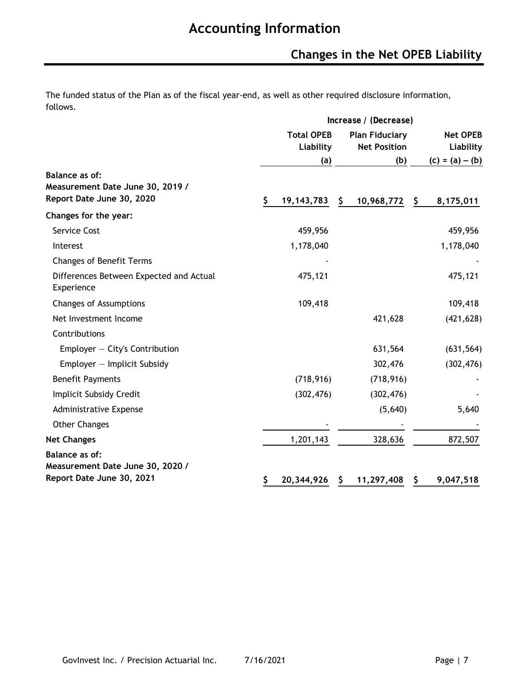# **Changes in the Net OPEB Liability**

The funded status of the Plan as of the fiscal year-end, as well as other required disclosure information, follows.

|                                                                                 |                                | Increase / (Decrease)                        |     |                              |  |  |  |
|---------------------------------------------------------------------------------|--------------------------------|----------------------------------------------|-----|------------------------------|--|--|--|
|                                                                                 | <b>Total OPEB</b><br>Liability | <b>Plan Fiduciary</b><br><b>Net Position</b> |     | <b>Net OPEB</b><br>Liability |  |  |  |
|                                                                                 | (a)                            | (b)                                          |     | $(c) = (a) - (b)$            |  |  |  |
| Balance as of:<br>Measurement Date June 30, 2019 /<br>Report Date June 30, 2020 | \$<br>19, 143, 783             | \$<br>10,968,772                             | \$. | 8,175,011                    |  |  |  |
| Changes for the year:                                                           |                                |                                              |     |                              |  |  |  |
| Service Cost                                                                    | 459,956                        |                                              |     | 459,956                      |  |  |  |
| Interest                                                                        | 1,178,040                      |                                              |     | 1,178,040                    |  |  |  |
| <b>Changes of Benefit Terms</b>                                                 |                                |                                              |     |                              |  |  |  |
| Differences Between Expected and Actual<br>Experience                           | 475,121                        |                                              |     | 475,121                      |  |  |  |
| Changes of Assumptions                                                          | 109,418                        |                                              |     | 109,418                      |  |  |  |
| Net Investment Income                                                           |                                | 421,628                                      |     | (421, 628)                   |  |  |  |
| Contributions                                                                   |                                |                                              |     |                              |  |  |  |
| Employer $-$ City's Contribution                                                |                                | 631,564                                      |     | (631, 564)                   |  |  |  |
| Employer - Implicit Subsidy                                                     |                                | 302,476                                      |     | (302, 476)                   |  |  |  |
| <b>Benefit Payments</b>                                                         | (718, 916)                     | (718, 916)                                   |     |                              |  |  |  |
| Implicit Subsidy Credit                                                         | (302, 476)                     | (302, 476)                                   |     |                              |  |  |  |
| <b>Administrative Expense</b>                                                   |                                | (5,640)                                      |     | 5,640                        |  |  |  |
| <b>Other Changes</b>                                                            |                                |                                              |     |                              |  |  |  |
| <b>Net Changes</b>                                                              | 1,201,143                      | 328,636                                      |     | 872,507                      |  |  |  |
| <b>Balance as of:</b>                                                           |                                |                                              |     |                              |  |  |  |
| Measurement Date June 30, 2020 /<br>Report Date June 30, 2021                   | \$<br>20,344,926               | \$<br>11,297,408                             | \$  | 9,047,518                    |  |  |  |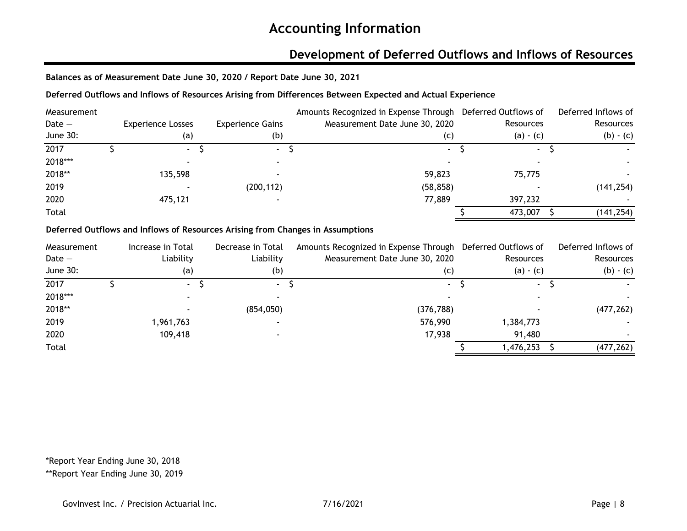### **Development of Deferred Outflows and Inflows of Resources**

**Balances as of Measurement Date June 30, 2020 / Report Date June 30, 2021**

#### **Deferred Outflows and Inflows of Resources Arising from Differences Between Expected and Actual Experience**

| Measurement |                          |                         | Amounts Recognized in Expense Through Deferred Outflows of |             | Deferred Inflows of |
|-------------|--------------------------|-------------------------|------------------------------------------------------------|-------------|---------------------|
| Date $-$    | <b>Experience Losses</b> | <b>Experience Gains</b> | Measurement Date June 30, 2020                             | Resources   | <b>Resources</b>    |
| June 30:    | (a)                      | (b)                     | (C)                                                        | $(a) - (c)$ | $(b) - (c)$         |
| 2017        | $\sim$                   | $\sim$                  | $\sim$                                                     | ٠           |                     |
| 2018***     |                          |                         |                                                            |             |                     |
| 2018**      | 135,598                  |                         | 59,823                                                     | 75,775      |                     |
| 2019        |                          | (200, 112)              | (58, 858)                                                  |             | (141, 254)          |
| 2020        | 475,121                  |                         | 77,889                                                     | 397,232     |                     |
| Total       |                          |                         |                                                            | 473,007     | (141, 254)          |

#### **Deferred Outflows and Inflows of Resources Arising from Changes in Assumptions**

| Measurement | Increase in Total | Decrease in Total | Amounts Recognized in Expense Through Deferred Outflows of |             | Deferred Inflows of |
|-------------|-------------------|-------------------|------------------------------------------------------------|-------------|---------------------|
| Date $-$    | Liability         | Liability         | Measurement Date June 30, 2020                             | Resources   | Resources           |
| June 30:    | (a)               | (b)               | (c)                                                        | $(a) - (c)$ | $(b) - (c)$         |
| 2017        | $\sim$            | $\sim$            | $\blacksquare$                                             | $\sim$      |                     |
| 2018***     |                   |                   |                                                            |             |                     |
| 2018**      |                   | (854, 050)        | (376, 788)                                                 |             | (477, 262)          |
| 2019        | 1,961,763         |                   | 576,990                                                    | 1,384,773   |                     |
| 2020        | 109,418           |                   | 17,938                                                     | 91,480      |                     |
| Total       |                   |                   |                                                            | 1,476,253   | (477, 262)          |

\*Report Year Ending June 30, 2018

\*\*Report Year Ending June 30, 2019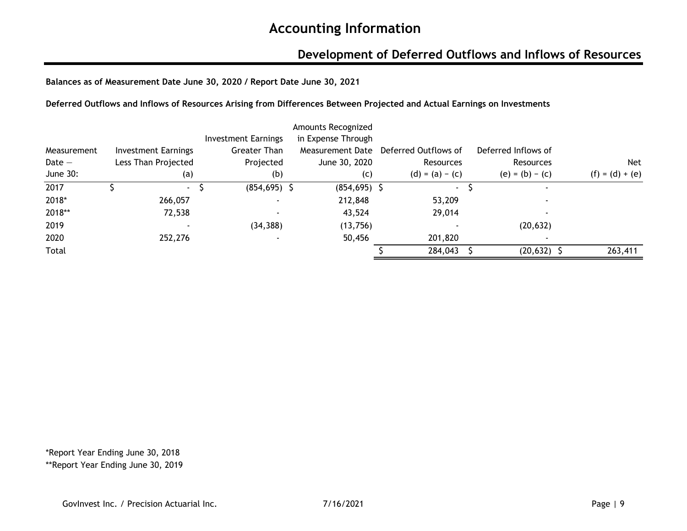### **Development of Deferred Outflows and Inflows of Resources**

**Balances as of Measurement Date June 30, 2020 / Report Date June 30, 2021**

**Deferred Outflows and Inflows of Resources Arising from Differences Between Projected and Actual Earnings on Investments**

|             |                            |                            | Amounts Recognized |                      |                     |                   |
|-------------|----------------------------|----------------------------|--------------------|----------------------|---------------------|-------------------|
|             |                            | <b>Investment Earnings</b> | in Expense Through |                      |                     |                   |
| Measurement | <b>Investment Earnings</b> | <b>Greater Than</b>        | Measurement Date   | Deferred Outflows of | Deferred Inflows of |                   |
| Date $-$    | Less Than Projected        | Projected                  | June 30, 2020      | Resources            | <b>Resources</b>    | <b>Net</b>        |
| June 30:    | (a)                        | (b)                        | (c)                | $(d) = (a) - (c)$    | $(e) = (b) - (c)$   | $(f) = (d) + (e)$ |
| 2017        | $\sim$                     | $(854, 695)$ \$            | $(854, 695)$ \$    | $\sim$               |                     |                   |
| 2018*       | 266,057                    |                            | 212,848            | 53,209               |                     |                   |
| 2018**      | 72,538                     |                            | 43,524             | 29,014               |                     |                   |
| 2019        |                            | (34, 388)                  | (13,756)           |                      | (20, 632)           |                   |
| 2020        | 252,276                    |                            | 50,456             | 201,820              |                     |                   |
| Total       |                            |                            |                    | 284,043              | $(20, 632)$ \$      | 263,411           |

\*Report Year Ending June 30, 2018 \*\*Report Year Ending June 30, 2019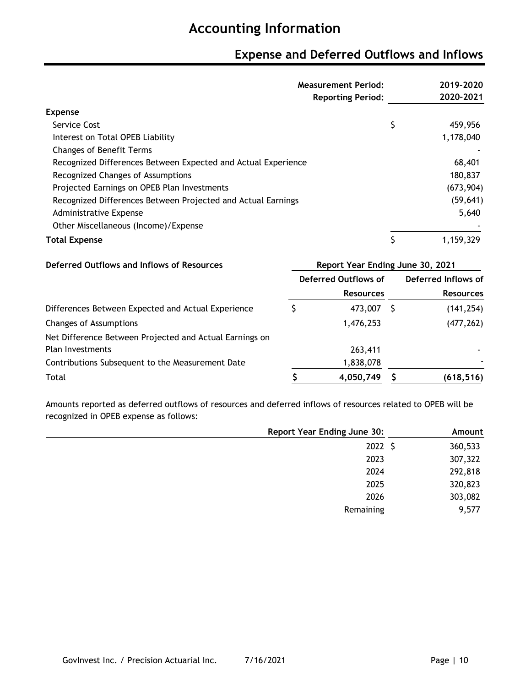### **Expense and Deferred Outflows and Inflows**

|                                                               | <b>Measurement Period:</b>       | 2019-2020           |
|---------------------------------------------------------------|----------------------------------|---------------------|
|                                                               | <b>Reporting Period:</b>         | 2020-2021           |
| <b>Expense</b>                                                |                                  |                     |
| Service Cost                                                  |                                  | \$<br>459,956       |
| Interest on Total OPEB Liability                              |                                  | 1,178,040           |
| <b>Changes of Benefit Terms</b>                               |                                  |                     |
| Recognized Differences Between Expected and Actual Experience |                                  | 68,401              |
| Recognized Changes of Assumptions                             |                                  | 180,837             |
| Projected Earnings on OPEB Plan Investments                   |                                  | (673, 904)          |
| Recognized Differences Between Projected and Actual Earnings  |                                  | (59, 641)           |
| Administrative Expense                                        |                                  | 5,640               |
| Other Miscellaneous (Income)/Expense                          |                                  |                     |
| <b>Total Expense</b>                                          |                                  | \$<br>1,159,329     |
| Deferred Outflows and Inflows of Resources                    | Report Year Ending June 30, 2021 |                     |
|                                                               | Deferred Outflows of             | Deferred Inflows of |
|                                                               | <b>Resources</b>                 | <b>Resources</b>    |
| Differences Between Expected and Actual Experience            | \$<br>473,007 \$                 | (141, 254)          |
| <b>Changes of Assumptions</b>                                 | 1,476,253                        | (477, 262)          |
| Net Difference Between Projected and Actual Earnings on       |                                  |                     |
| <b>Plan Investments</b>                                       | 263,411                          |                     |
| Contributions Subsequent to the Measurement Date              | 1,838,078                        |                     |

Total **\$ (618,516) 4,050,749 \$** 

Amounts reported as deferred outflows of resources and deferred inflows of resources related to OPEB will be recognized in OPEB expense as follows:

| <b>Report Year Ending June 30:</b> | Amount  |
|------------------------------------|---------|
| 2022 \$                            | 360,533 |
| 2023                               | 307,322 |
| 2024                               | 292,818 |
| 2025                               | 320,823 |
| 2026                               | 303,082 |
| Remaining                          | 9,577   |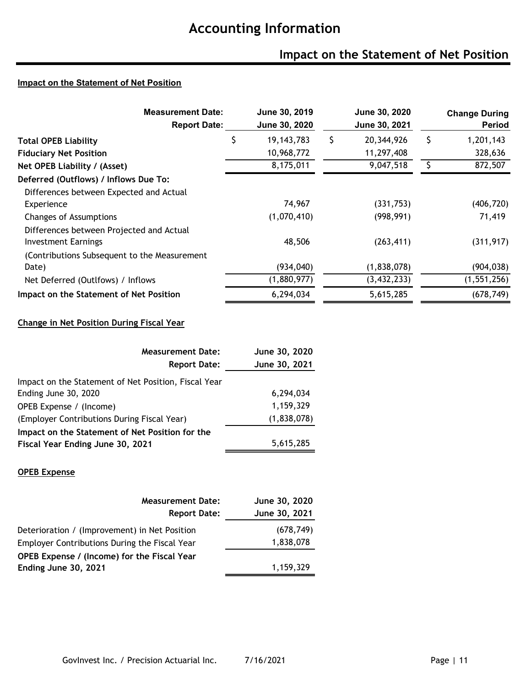# **Impact on the Statement of Net Position**

#### **Impact on the Statement of Net Position**

| <b>Measurement Date:</b><br><b>Report Date:</b> |   | June 30, 2019<br>June 30, 2020 |   | June 30, 2020<br>June 30, 2021 |   | <b>Change During</b><br><b>Period</b> |
|-------------------------------------------------|---|--------------------------------|---|--------------------------------|---|---------------------------------------|
| <b>Total OPEB Liability</b>                     | S | 19, 143, 783                   | S | 20,344,926                     | S | 1,201,143                             |
| <b>Fiduciary Net Position</b>                   |   | 10,968,772                     |   | 11,297,408                     |   | 328,636                               |
| Net OPEB Liability / (Asset)                    |   | 8,175,011                      |   | 9,047,518                      |   | 872,507                               |
| Deferred (Outflows) / Inflows Due To:           |   |                                |   |                                |   |                                       |
| Differences between Expected and Actual         |   |                                |   |                                |   |                                       |
| Experience                                      |   | 74,967                         |   | (331,753)                      |   | (406, 720)                            |
| Changes of Assumptions                          |   | (1,070,410)                    |   | (998, 991)                     |   | 71,419                                |
| Differences between Projected and Actual        |   |                                |   |                                |   |                                       |
| <b>Investment Earnings</b>                      |   | 48,506                         |   | (263, 411)                     |   | (311, 917)                            |
| (Contributions Subsequent to the Measurement    |   |                                |   |                                |   |                                       |
| Date)                                           |   | (934, 040)                     |   | (1,838,078)                    |   | (904, 038)                            |
| Net Deferred (Outlfows) / Inflows               |   | (1,880,977)                    |   | (3,432,233)                    |   | (1, 551, 256)                         |
| Impact on the Statement of Net Position         |   | 6,294,034                      |   | 5,615,285                      |   | (678, 749)                            |

#### **Change in Net Position During Fiscal Year**

| <b>Measurement Date:</b>                             | June 30, 2020 |
|------------------------------------------------------|---------------|
| <b>Report Date:</b>                                  | June 30, 2021 |
| Impact on the Statement of Net Position, Fiscal Year |               |
| Ending June 30, 2020                                 | 6,294,034     |
| OPEB Expense / (Income)                              | 1,159,329     |
| (Employer Contributions During Fiscal Year)          | (1,838,078)   |
| Impact on the Statement of Net Position for the      |               |
| Fiscal Year Ending June 30, 2021                     | 5,615,285     |

#### **OPEB Expense**

| <b>Measurement Date:</b>                      | June 30, 2020 |
|-----------------------------------------------|---------------|
| <b>Report Date:</b>                           | June 30, 2021 |
| Deterioration / (Improvement) in Net Position | (678, 749)    |
| Employer Contributions During the Fiscal Year | 1,838,078     |
| OPEB Expense / (Income) for the Fiscal Year   |               |
| Ending June 30, 2021                          | 1,159,329     |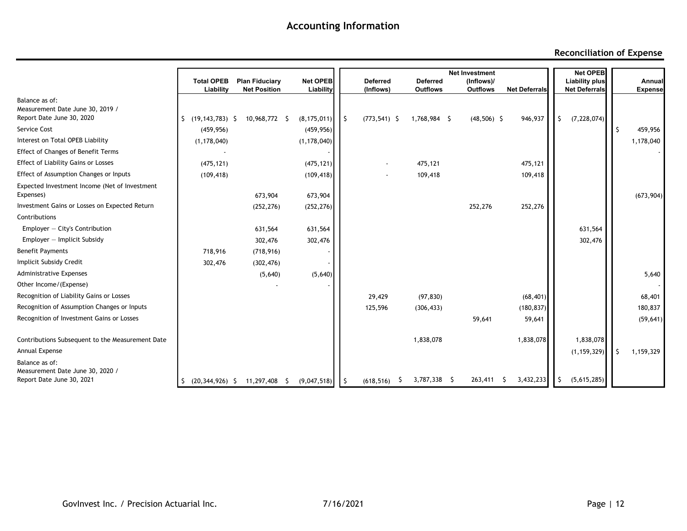#### **Reconciliation of Expense**

|                                                               |                           |                       |               |              |                 |                 | <b>Net Investment</b> |                      |    | <b>Net OPEB</b>       |    |                |
|---------------------------------------------------------------|---------------------------|-----------------------|---------------|--------------|-----------------|-----------------|-----------------------|----------------------|----|-----------------------|----|----------------|
|                                                               | <b>Total OPEB</b>         | <b>Plan Fiduciary</b> | Net OPEB      |              | <b>Deferred</b> | <b>Deferred</b> | (Inflows)/            |                      |    | <b>Liability plus</b> |    | Annual         |
|                                                               | Liability                 | <b>Net Position</b>   | Liability     |              | (Inflows)       | <b>Outflows</b> | <b>Outflows</b>       | <b>Net Deferrals</b> |    | <b>Net Deferrals</b>  |    | <b>Expense</b> |
| Balance as of:                                                |                           |                       |               |              |                 |                 |                       |                      |    |                       |    |                |
| Measurement Date June 30, 2019 /<br>Report Date June 30, 2020 | $(19, 143, 783)$ \$<br>S. | 10,968,772 \$         | (8, 175, 011) | $\mathsf{I}$ | $(773, 541)$ \$ | 1,768,984 \$    | $(48,506)$ \$         | 946,937              | Ŝ. | (7, 228, 074)         |    |                |
| Service Cost                                                  | (459, 956)                |                       |               |              |                 |                 |                       |                      |    |                       |    |                |
| Interest on Total OPEB Liability                              |                           |                       | (459, 956)    |              |                 |                 |                       |                      |    |                       |    | 459,956        |
|                                                               | (1, 178, 040)             |                       | (1, 178, 040) |              |                 |                 |                       |                      |    |                       |    | 1,178,040      |
| <b>Effect of Changes of Benefit Terms</b>                     |                           |                       |               |              |                 |                 |                       |                      |    |                       |    |                |
| <b>Effect of Liability Gains or Losses</b>                    | (475, 121)                |                       | (475, 121)    |              |                 | 475,121         |                       | 475,121              |    |                       |    |                |
| Effect of Assumption Changes or Inputs                        | (109, 418)                |                       | (109, 418)    |              |                 | 109,418         |                       | 109,418              |    |                       |    |                |
| Expected Investment Income (Net of Investment<br>Expenses)    |                           |                       |               |              |                 |                 |                       |                      |    |                       |    |                |
|                                                               |                           | 673,904               | 673,904       |              |                 |                 |                       |                      |    |                       |    | (673,904)      |
| Investment Gains or Losses on Expected Return                 |                           | (252, 276)            | (252, 276)    |              |                 |                 | 252,276               | 252,276              |    |                       |    |                |
| Contributions                                                 |                           |                       |               |              |                 |                 |                       |                      |    |                       |    |                |
| Employer $-$ City's Contribution                              |                           | 631,564               | 631,564       |              |                 |                 |                       |                      |    | 631,564               |    |                |
| $Emplayer - Implicit Subsidy$                                 |                           | 302,476               | 302,476       |              |                 |                 |                       |                      |    | 302,476               |    |                |
| <b>Benefit Payments</b>                                       | 718,916                   | (718, 916)            |               |              |                 |                 |                       |                      |    |                       |    |                |
| Implicit Subsidy Credit                                       | 302,476                   | (302, 476)            |               |              |                 |                 |                       |                      |    |                       |    |                |
| <b>Administrative Expenses</b>                                |                           | (5,640)               | (5,640)       |              |                 |                 |                       |                      |    |                       |    | 5,640          |
| Other Income/(Expense)                                        |                           |                       |               |              |                 |                 |                       |                      |    |                       |    |                |
| Recognition of Liability Gains or Losses                      |                           |                       |               |              | 29,429          | (97, 830)       |                       | (68, 401)            |    |                       |    | 68,401         |
| Recognition of Assumption Changes or Inputs                   |                           |                       |               |              | 125,596         | (306, 433)      |                       | (180, 837)           |    |                       |    | 180,837        |
| Recognition of Investment Gains or Losses                     |                           |                       |               |              |                 |                 | 59,641                | 59,641               |    |                       |    | (59, 641)      |
| Contributions Subsequent to the Measurement Date              |                           |                       |               |              |                 | 1,838,078       |                       | 1,838,078            |    | 1,838,078             |    |                |
| Annual Expense                                                |                           |                       |               |              |                 |                 |                       |                      |    | (1, 159, 329)         | -S | 1,159,329      |
| Balance as of:                                                |                           |                       |               |              |                 |                 |                       |                      |    |                       |    |                |
| Measurement Date June 30, 2020 /<br>Report Date June 30, 2021 |                           |                       |               |              |                 | 3,787,338 \$    | $263,411$ \$          | 3,432,233            | -S | (5,615,285)           |    |                |
|                                                               | $(20, 344, 926)$ \$<br>S. | 11,297,408 \$         | (9,047,518)   | I\$          | (618, 516)      |                 |                       |                      |    |                       |    |                |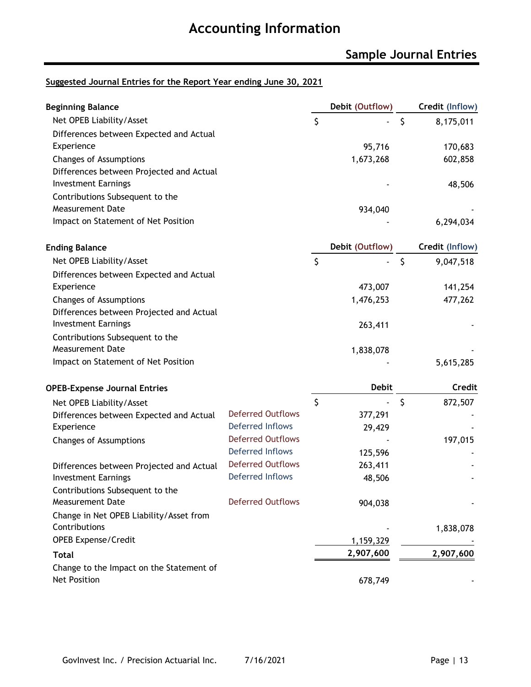### **Sample Journal Entries**

#### **Suggested Journal Entries for the Report Year ending June 30, 2021**

| <b>Beginning Balance</b>                 |                          |         | Debit (Outflow) |              | Credit (Inflow) |
|------------------------------------------|--------------------------|---------|-----------------|--------------|-----------------|
| Net OPEB Liability/Asset                 |                          | \$      |                 | $\zeta$      | 8,175,011       |
| Differences between Expected and Actual  |                          |         |                 |              |                 |
| Experience                               |                          |         | 95,716          |              | 170,683         |
| Changes of Assumptions                   |                          |         | 1,673,268       |              | 602,858         |
| Differences between Projected and Actual |                          |         |                 |              |                 |
| <b>Investment Earnings</b>               |                          |         |                 |              | 48,506          |
| Contributions Subsequent to the          |                          |         |                 |              |                 |
| <b>Measurement Date</b>                  |                          |         | 934,040         |              |                 |
| Impact on Statement of Net Position      |                          |         |                 |              | 6,294,034       |
| <b>Ending Balance</b>                    |                          |         | Debit (Outflow) |              | Credit (Inflow) |
| Net OPEB Liability/Asset                 |                          | $\zeta$ |                 | $\zeta$      | 9,047,518       |
| Differences between Expected and Actual  |                          |         |                 |              |                 |
| Experience                               |                          |         | 473,007         |              | 141,254         |
| <b>Changes of Assumptions</b>            |                          |         | 1,476,253       |              | 477,262         |
| Differences between Projected and Actual |                          |         |                 |              |                 |
| <b>Investment Earnings</b>               |                          |         | 263,411         |              |                 |
| Contributions Subsequent to the          |                          |         |                 |              |                 |
| <b>Measurement Date</b>                  |                          |         | 1,838,078       |              |                 |
| Impact on Statement of Net Position      |                          |         |                 |              | 5,615,285       |
| <b>OPEB-Expense Journal Entries</b>      |                          |         | <b>Debit</b>    |              | <b>Credit</b>   |
| Net OPEB Liability/Asset                 |                          | \$      |                 | $\mathsf{S}$ | 872,507         |
| Differences between Expected and Actual  | <b>Deferred Outflows</b> |         | 377,291         |              |                 |
| Experience                               | Deferred Inflows         |         | 29,429          |              |                 |
| Changes of Assumptions                   | <b>Deferred Outflows</b> |         |                 |              | 197,015         |
|                                          | <b>Deferred Inflows</b>  |         | 125,596         |              |                 |
| Differences between Projected and Actual | <b>Deferred Outflows</b> |         | 263,411         |              |                 |
| <b>Investment Earnings</b>               | <b>Deferred Inflows</b>  |         | 48,506          |              |                 |
| Contributions Subsequent to the          |                          |         |                 |              |                 |
| <b>Measurement Date</b>                  | <b>Deferred Outflows</b> |         | 904,038         |              |                 |
| Change in Net OPEB Liability/Asset from  |                          |         |                 |              |                 |
| Contributions                            |                          |         |                 |              | 1,838,078       |
| <b>OPEB Expense/Credit</b>               |                          |         | 1,159,329       |              |                 |
| <b>Total</b>                             |                          |         | 2,907,600       |              | 2,907,600       |
| Change to the Impact on the Statement of |                          |         |                 |              |                 |
| Net Position                             |                          |         | 678,749         |              |                 |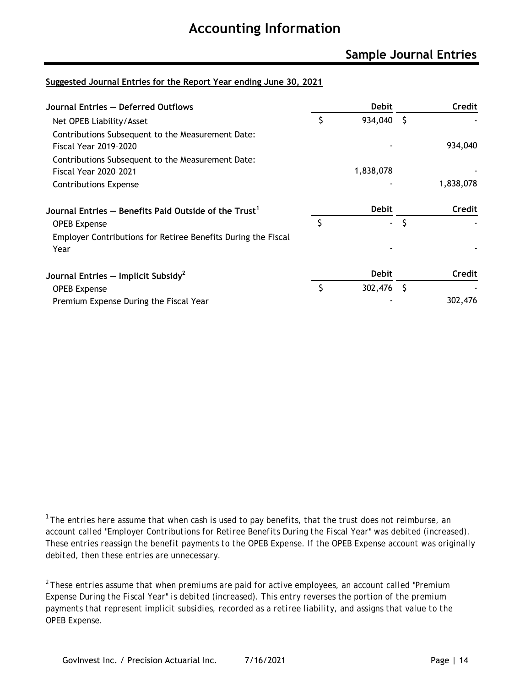### **Sample Journal Entries**

#### **Suggested Journal Entries for the Report Year ending June 30, 2021**

| Journal Entries - Deferred Outflows                                               |    | <b>Debit</b> |     | Credit    |
|-----------------------------------------------------------------------------------|----|--------------|-----|-----------|
| Net OPEB Liability/Asset                                                          | \$ | 934,040      | - S |           |
| Contributions Subsequent to the Measurement Date:<br><b>Fiscal Year 2019-2020</b> |    |              |     | 934,040   |
| Contributions Subsequent to the Measurement Date:<br><b>Fiscal Year 2020-2021</b> |    | 1,838,078    |     |           |
| Contributions Expense                                                             |    |              |     | 1,838,078 |
| Journal Entries $-$ Benefits Paid Outside of the Trust $^1$                       |    | <b>Debit</b> |     | Credit    |
| <b>OPEB</b> Expense                                                               | Ś  | ٠            | S   |           |
| Employer Contributions for Retiree Benefits During the Fiscal<br>Year             |    |              |     |           |
| Journal Entries $-$ Implicit Subsidy <sup>2</sup>                                 |    | <b>Debit</b> |     | Credit    |
| <b>OPEB Expense</b>                                                               | \$ | 302,476      | - S |           |
| Premium Expense During the Fiscal Year                                            |    |              |     | 302,476   |

*<sup>1</sup> The entries here assume that when cash is used to pay benefits, that the trust does not reimburse, an account called "Employer Contributions for Retiree Benefits During the Fiscal Year" was debited (increased). These entries reassign the benefit payments to the OPEB Expense. If the OPEB Expense account was originally debited, then these entries are unnecessary.*

*<sup>2</sup> These entries assume that when premiums are paid for active employees, an account called "Premium Expense During the Fiscal Year" is debited (increased). This entry reverses the portion of the premium payments that represent implicit subsidies, recorded as a retiree liability, and assigns that value to the OPEB Expense.*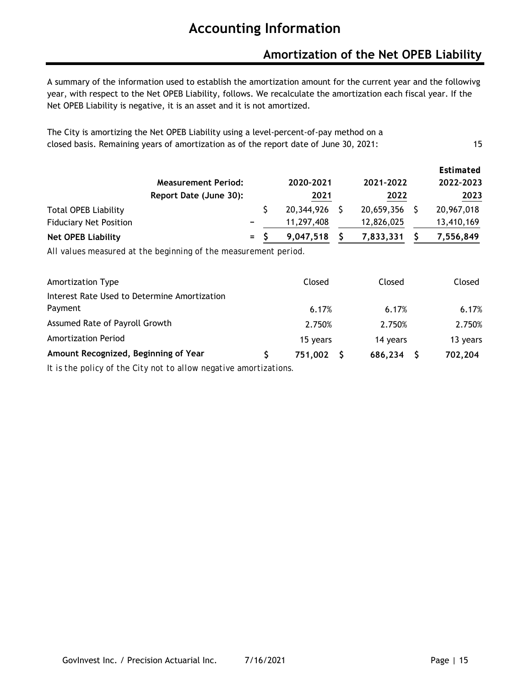### **Amortization of the Net OPEB Liability**

A summary of the information used to establish the amortization amount for the current year and the followivg year, with respect to the Net OPEB Liability, follows. We recalculate the amortization each fiscal year. If the Net OPEB Liability is negative, it is an asset and it is not amortized.

| The City is amortizing the Net OPEB Liability using a level-percent-of-pay method on a |    |
|----------------------------------------------------------------------------------------|----|
| closed basis. Remaining years of amortization as of the report date of June 30, 2021:  | 15 |

|                               | <b>Measurement Period:</b> |  | 2020-2021  |  | 2021-2022  |      | Estimated<br>2022-2023 |
|-------------------------------|----------------------------|--|------------|--|------------|------|------------------------|
|                               | Report Date (June 30):     |  |            |  | 2022       | 2023 |                        |
| <b>Total OPEB Liability</b>   |                            |  | 20,344,926 |  | 20,659,356 |      | 20,967,018             |
| <b>Fiduciary Net Position</b> |                            |  | 11,297,408 |  | 12,826,025 |      | 13,410,169             |
| <b>Net OPEB Liability</b>     | $=$ $-$                    |  | 9,047,518  |  | 7,833,331  |      | 7,556,849              |

*All values measured at the beginning of the measurement period.*

| Amortization Type                            | Closed   | Closed   | Closed   |
|----------------------------------------------|----------|----------|----------|
| Interest Rate Used to Determine Amortization |          |          |          |
| Payment                                      | 6.17%    | 6.17%    | 6.17%    |
| Assumed Rate of Payroll Growth               | 2.750%   | 2.750%   | 2.750%   |
| <b>Amortization Period</b>                   | 15 years | 14 years | 13 years |
| Amount Recognized, Beginning of Year         | 751,002  | 686,234  | 702,204  |
|                                              |          |          |          |

*It is the policy of the City not to allow negative amortizations.*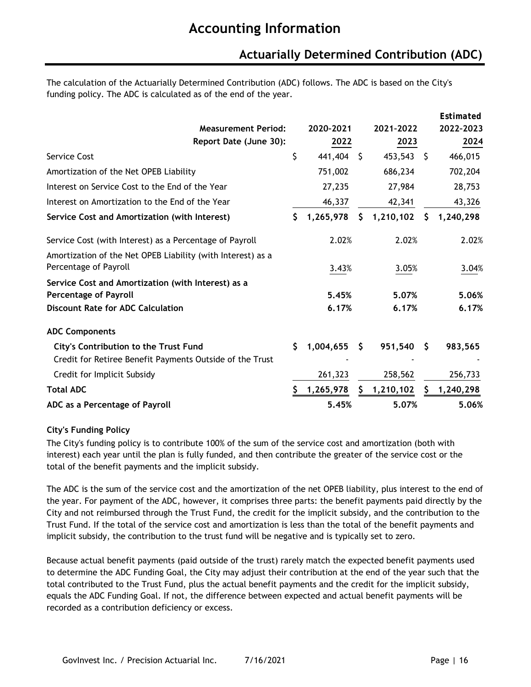### **Actuarially Determined Contribution (ADC)**

The calculation of the Actuarially Determined Contribution (ADC) follows. The ADC is based on the City's funding policy. The ADC is calculated as of the end of the year.

|                                                                                      |    |           |      |           |      | Estimated |
|--------------------------------------------------------------------------------------|----|-----------|------|-----------|------|-----------|
| <b>Measurement Period:</b>                                                           |    | 2020-2021 |      | 2021-2022 |      | 2022-2023 |
| Report Date (June 30):                                                               |    | 2022      |      | 2023      |      | 2024      |
| <b>Service Cost</b>                                                                  | \$ | 441,404   | - \$ | 453,543   | - \$ | 466,015   |
| Amortization of the Net OPEB Liability                                               |    | 751,002   |      | 686,234   |      | 702,204   |
| Interest on Service Cost to the End of the Year                                      |    | 27,235    |      | 27,984    |      | 28,753    |
| Interest on Amortization to the End of the Year                                      |    | 46,337    |      | 42,341    |      | 43,326    |
| Service Cost and Amortization (with Interest)                                        | \$ | 1,265,978 | \$   | 1,210,102 | \$   | 1,240,298 |
| Service Cost (with Interest) as a Percentage of Payroll                              |    | 2.02%     |      | 2.02%     |      | 2.02%     |
| Amortization of the Net OPEB Liability (with Interest) as a<br>Percentage of Payroll |    | 3.43%     |      | 3.05%     |      | 3.04%     |
| Service Cost and Amortization (with Interest) as a                                   |    |           |      |           |      |           |
| <b>Percentage of Payroll</b>                                                         |    | 5.45%     |      | 5.07%     |      | 5.06%     |
| <b>Discount Rate for ADC Calculation</b>                                             |    | 6.17%     |      | 6.17%     |      | 6.17%     |
| <b>ADC Components</b>                                                                |    |           |      |           |      |           |
| <b>City's Contribution to the Trust Fund</b>                                         | \$ | 1,004,655 | S.   | 951,540   | S    | 983,565   |
| Credit for Retiree Benefit Payments Outside of the Trust                             |    |           |      |           |      |           |
| Credit for Implicit Subsidy                                                          |    | 261,323   |      | 258,562   |      | 256,733   |
| <b>Total ADC</b>                                                                     | S  | 1,265,978 | S.   | 1,210,102 | S    | 1,240,298 |
| ADC as a Percentage of Payroll                                                       |    | 5.45%     |      | 5.07%     |      | 5.06%     |

#### **City's Funding Policy**

The City's funding policy is to contribute 100% of the sum of the service cost and amortization (both with interest) each year until the plan is fully funded, and then contribute the greater of the service cost or the total of the benefit payments and the implicit subsidy.

The ADC is the sum of the service cost and the amortization of the net OPEB liability, plus interest to the end of the year. For payment of the ADC, however, it comprises three parts: the benefit payments paid directly by the City and not reimbursed through the Trust Fund, the credit for the implicit subsidy, and the contribution to the Trust Fund. If the total of the service cost and amortization is less than the total of the benefit payments and implicit subsidy, the contribution to the trust fund will be negative and is typically set to zero.

Because actual benefit payments (paid outside of the trust) rarely match the expected benefit payments used to determine the ADC Funding Goal, the City may adjust their contribution at the end of the year such that the total contributed to the Trust Fund, plus the actual benefit payments and the credit for the implicit subsidy, equals the ADC Funding Goal. If not, the difference between expected and actual benefit payments will be recorded as a contribution deficiency or excess.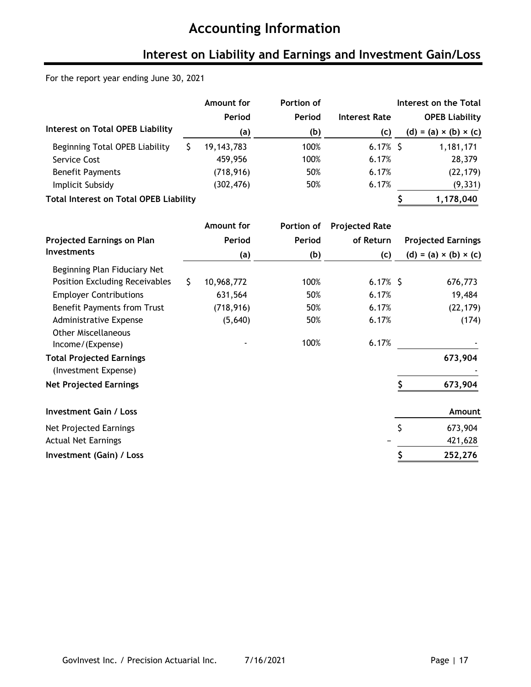## **Interest on Liability and Earnings and Investment Gain/Loss**

#### For the report year ending June 30, 2021

|                                               | Amount for   | Portion of |                      | Interest on the Total             |
|-----------------------------------------------|--------------|------------|----------------------|-----------------------------------|
|                                               | Period       | Period     | <b>Interest Rate</b> | <b>OPEB Liability</b>             |
| Interest on Total OPEB Liability              | (a)          | (b)        | (c)                  | $(d) = (a) \times (b) \times (c)$ |
| Beginning Total OPEB Liability                | 19, 143, 783 | 100%       | $6.17\%$ \$          | 1,181,171                         |
| Service Cost                                  | 459,956      | 100%       | 6.17%                | 28,379                            |
| <b>Benefit Payments</b>                       | (718, 916)   | 50%        | 6.17%                | (22, 179)                         |
| Implicit Subsidy                              | (302, 476)   | 50%        | 6.17%                | (9, 331)                          |
| <b>Total Interest on Total OPEB Liability</b> |              |            |                      | 1,178,040                         |

|                                    | Amount for       | Portion of | <b>Projected Rate</b> |                                     |
|------------------------------------|------------------|------------|-----------------------|-------------------------------------|
| <b>Projected Earnings on Plan</b>  | Period           | Period     | of Return             | <b>Projected Earnings</b>           |
| <b>Investments</b>                 | (a)              | (b)        | (c)                   | (d) = (a) $\times$ (b) $\times$ (c) |
| Beginning Plan Fiduciary Net       |                  |            |                       |                                     |
| Position Excluding Receivables     | \$<br>10,968,772 | 100%       | $6.17%$ \$            | 676,773                             |
| <b>Employer Contributions</b>      | 631,564          | 50%        | 6.17%                 | 19,484                              |
| <b>Benefit Payments from Trust</b> | (718, 916)       | 50%        | 6.17%                 | (22, 179)                           |
| Administrative Expense             | (5,640)          | 50%        | 6.17%                 | (174)                               |
| <b>Other Miscellaneous</b>         |                  |            |                       |                                     |
| Income/(Expense)                   |                  | 100%       | 6.17%                 |                                     |
| <b>Total Projected Earnings</b>    |                  |            |                       | 673,904                             |
| (Investment Expense)               |                  |            |                       |                                     |
| <b>Net Projected Earnings</b>      |                  |            |                       | 673,904                             |
| <b>Investment Gain / Loss</b>      |                  |            |                       | Amount                              |
| Net Projected Earnings             |                  |            |                       | \$<br>673,904                       |
| <b>Actual Net Earnings</b>         |                  |            |                       | 421,628                             |
| Investment (Gain) / Loss           |                  |            |                       | 252,276                             |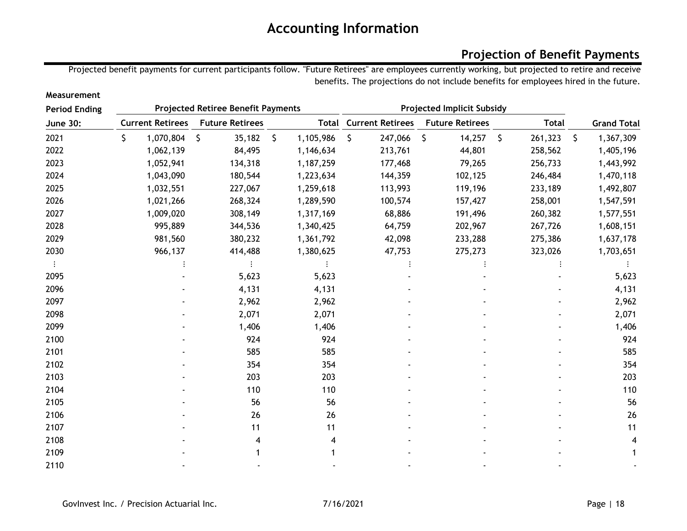### **Projection of Benefit Payments**

Projected benefit payments for current participants follow. "Future Retirees" are employees currently working, but projected to retire and receive benefits. The projections do not include benefits for employees hired in the future.

| <b>Period Ending</b> | <b>Projected Retiree Benefit Payments</b> |                         |    |                        |    |           |              |                               | <b>Projected Implicit Subsidy</b> |                        |               |    |                    |
|----------------------|-------------------------------------------|-------------------------|----|------------------------|----|-----------|--------------|-------------------------------|-----------------------------------|------------------------|---------------|----|--------------------|
| <b>June 30:</b>      |                                           | <b>Current Retirees</b> |    | <b>Future Retirees</b> |    |           |              | <b>Total Current Retirees</b> |                                   | <b>Future Retirees</b> | <b>Total</b>  |    | <b>Grand Total</b> |
| 2021                 | \$.                                       | 1,070,804               | \$ | 35,182                 | \$ | 1,105,986 | $\mathsf{S}$ | 247,066                       | \$                                | 14,257                 | \$<br>261,323 | S. | 1,367,309          |
| 2022                 |                                           | 1,062,139               |    | 84,495                 |    | 1,146,634 |              | 213,761                       |                                   | 44,801                 | 258,562       |    | 1,405,196          |
| 2023                 |                                           | 1,052,941               |    | 134,318                |    | 1,187,259 |              | 177,468                       |                                   | 79,265                 | 256,733       |    | 1,443,992          |
| 2024                 |                                           | 1,043,090               |    | 180,544                |    | 1,223,634 |              | 144,359                       |                                   | 102,125                | 246,484       |    | 1,470,118          |
| 2025                 |                                           | 1,032,551               |    | 227,067                |    | 1,259,618 |              | 113,993                       |                                   | 119,196                | 233,189       |    | 1,492,807          |
| 2026                 |                                           | 1,021,266               |    | 268,324                |    | 1,289,590 |              | 100,574                       |                                   | 157,427                | 258,001       |    | 1,547,591          |
| 2027                 |                                           | 1,009,020               |    | 308,149                |    | 1,317,169 |              | 68,886                        |                                   | 191,496                | 260,382       |    | 1,577,551          |
| 2028                 |                                           | 995,889                 |    | 344,536                |    | 1,340,425 |              | 64,759                        |                                   | 202,967                | 267,726       |    | 1,608,151          |
| 2029                 |                                           | 981,560                 |    | 380,232                |    | 1,361,792 |              | 42,098                        |                                   | 233,288                | 275,386       |    | 1,637,178          |
| 2030                 |                                           | 966,137                 |    | 414,488                |    | 1,380,625 |              | 47,753                        |                                   | 275,273                | 323,026       |    | 1,703,651          |
|                      |                                           |                         |    |                        |    |           |              |                               |                                   |                        |               |    |                    |
| 2095                 |                                           |                         |    | 5,623                  |    | 5,623     |              |                               |                                   |                        |               |    | 5,623              |
| 2096                 |                                           |                         |    | 4,131                  |    | 4,131     |              |                               |                                   |                        |               |    | 4,131              |
| 2097                 |                                           |                         |    | 2,962                  |    | 2,962     |              |                               |                                   |                        |               |    | 2,962              |
| 2098                 |                                           |                         |    | 2,071                  |    | 2,071     |              |                               |                                   |                        |               |    | 2,071              |
| 2099                 |                                           |                         |    | 1,406                  |    | 1,406     |              |                               |                                   |                        |               |    | 1,406              |
| 2100                 |                                           |                         |    | 924                    |    | 924       |              |                               |                                   |                        |               |    | 924                |
| 2101                 |                                           |                         |    | 585                    |    | 585       |              |                               |                                   |                        |               |    | 585                |
| 2102                 |                                           |                         |    | 354                    |    | 354       |              |                               |                                   |                        |               |    | 354                |
| 2103                 |                                           |                         |    | 203                    |    | 203       |              |                               |                                   |                        |               |    | 203                |
| 2104                 |                                           |                         |    | 110                    |    | 110       |              |                               |                                   |                        |               |    | 110                |
| 2105                 |                                           |                         |    | 56                     |    | 56        |              |                               |                                   |                        |               |    | 56                 |
| 2106                 |                                           |                         |    | 26                     |    | 26        |              |                               |                                   |                        |               |    | 26                 |
| 2107                 |                                           |                         |    | 11                     |    | 11        |              |                               |                                   |                        |               |    | 11                 |
| 2108                 |                                           |                         |    |                        |    |           |              |                               |                                   |                        |               |    | 4                  |
| 2109                 |                                           |                         |    |                        |    |           |              |                               |                                   |                        |               |    |                    |
| 2110                 |                                           |                         |    |                        |    |           |              |                               |                                   |                        |               |    |                    |

**Measurement**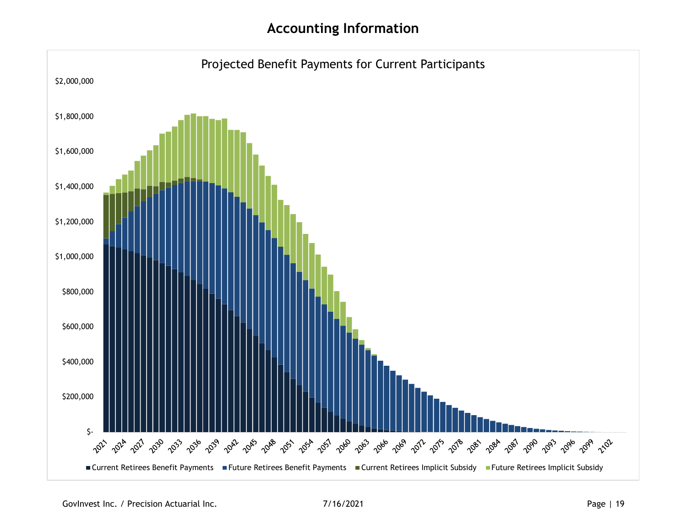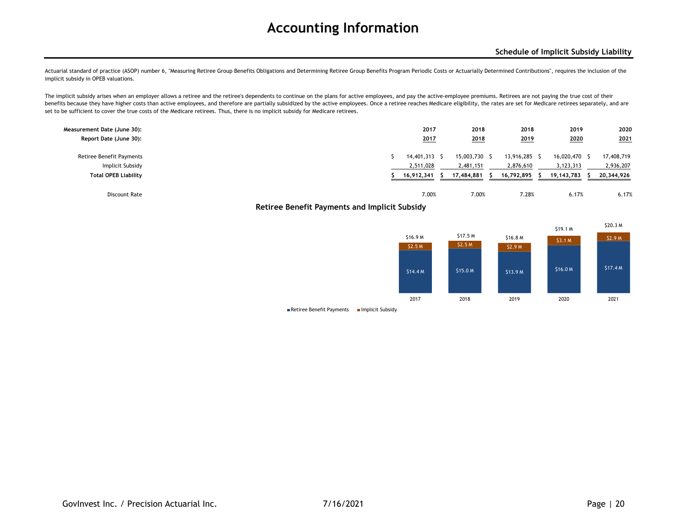Actuarial standard of practice (ASOP) number 6, "Measuring Retiree Group Benefits Obligations and Determining Retiree Group Benefits Program Periodic Costs or Actuarially Determined Contributions", requires the inclusion o implicit subsidy in OPEB valuations.

The implicit subsidy arises when an employer allows a retiree and the retiree's dependents to continue on the plans for active employees, and pay the active-employee premiums. Retirees are not paying the true cost of their benefits because they have higher costs than active employees, and therefore are partially subsidized by the active employees. Once a retiree reaches Medicare eligibility, the rates are set for Medicare retirees separately set to be sufficient to cover the true costs of the Medicare retirees. Thus, there is no implicit subsidy for Medicare retirees.

| Measurement Date (June 30):<br>Report Date (June 30): |  | 2017<br>2017 | 2018<br>2018  | 2018<br><u>2019</u> | 2019<br>2020<br>______ | 2020<br>2021 |
|-------------------------------------------------------|--|--------------|---------------|---------------------|------------------------|--------------|
| <b>Retiree Benefit Payments</b>                       |  | 14,401,313   | 15,003,730 \$ | 13,916,285 \$       | 16,020,470             | 17,408,719   |
| Implicit Subsidy                                      |  | 2,511,028    | 2,481,151     | 2,876,610           | 3,123,313              | 2,936,207    |
| <b>Total OPEB Liability</b>                           |  | 16,912,341   | 17,484,881    | 16,792,895          | 19, 143, 783           | 20,344,926   |
| Discount Rate                                         |  | 7.00%        | 7.00%         | 7.28%               | 6.17%                  | 6.17%        |

**Retiree Benefit Payments and Implicit Subsidy**



 $\blacksquare$  Retiree Benefit Payments  $\blacksquare$  Implicit Subsidy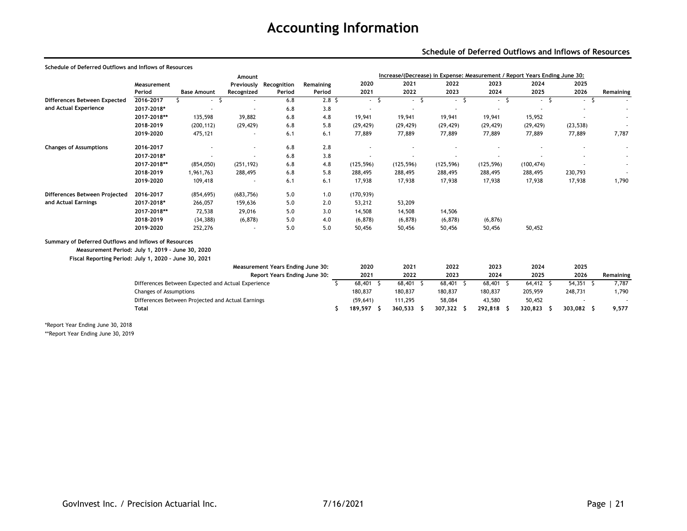#### **Schedule of Deferred Outflows and Inflows of Resources**

| Schedule of Deferred Outflows and Inflows of Resources |                               |                                                    |            |                                   |                  |                          |                                                                            |            |                          |              |             |           |
|--------------------------------------------------------|-------------------------------|----------------------------------------------------|------------|-----------------------------------|------------------|--------------------------|----------------------------------------------------------------------------|------------|--------------------------|--------------|-------------|-----------|
|                                                        |                               |                                                    | Amount     |                                   |                  |                          | Increase/(Decrease) in Expense: Measurement / Report Years Ending June 30: |            |                          |              |             |           |
|                                                        | Measurement                   |                                                    |            | Previously Recognition            | Remaining        | 2020                     | 2021                                                                       | 2022       | 2023                     | 2024         | 2025        |           |
|                                                        | Period                        | <b>Base Amount</b>                                 | Recognized | Period                            | Period           | 2021                     | 2022                                                                       | 2023       | 2024                     | 2025         | 2026        | Remaining |
| Differences Between Expected                           | 2016-2017                     | $-5$                                               | ٠          | 6.8                               | 2.8 <sup>5</sup> | $-5$                     | S.<br>$\sim$                                                               | $-5$       | -S<br>$\sim$             | -S<br>$\sim$ | $-5$        |           |
| and Actual Experience                                  | 2017-2018*                    | ٠                                                  |            | 6.8                               | 3.8              | $\sim$                   | $\overline{\phantom{a}}$                                                   |            | $\overline{\phantom{a}}$ | $\sim$       |             |           |
|                                                        | 2017-2018**                   | 135,598                                            | 39,882     | 6.8                               | 4.8              | 19,941                   | 19,941                                                                     | 19,941     | 19,941                   | 15,952       |             |           |
|                                                        | 2018-2019                     | (200, 112)                                         | (29, 429)  | 6.8                               | 5.8              | (29, 429)                | (29, 429)                                                                  | (29, 429)  | (29, 429)                | (29, 429)    | (23, 538)   |           |
|                                                        | 2019-2020                     | 475,121                                            |            | 6.1                               | 6.1              | 77,889                   | 77,889                                                                     | 77,889     | 77,889                   | 77,889       | 77,889      | 7,787     |
| <b>Changes of Assumptions</b>                          | 2016-2017                     |                                                    | $\sim$     | 6.8                               | 2.8              |                          |                                                                            |            |                          |              |             |           |
|                                                        | 2017-2018*                    | ٠                                                  |            | 6.8                               | 3.8              | $\overline{\phantom{a}}$ | ٠                                                                          |            | $\overline{\phantom{a}}$ |              |             |           |
|                                                        | 2017-2018**                   | (854, 050)                                         | (251, 192) | 6.8                               | 4.8              | (125, 596)               | (125, 596)                                                                 | (125, 596) | (125, 596)               | (100, 474)   |             |           |
|                                                        | 2018-2019                     | 1,961,763                                          | 288,495    | 6.8                               | 5.8              | 288,495                  | 288,495                                                                    | 288,495    | 288,495                  | 288,495      | 230,793     |           |
|                                                        | 2019-2020                     | 109,418                                            |            | 6.1                               | 6.1              | 17,938                   | 17,938                                                                     | 17,938     | 17,938                   | 17,938       | 17,938      | 1,790     |
| Differences Between Projected                          | 2016-2017                     | (854, 695)                                         | (683, 756) | 5.0                               | 1.0              | (170, 939)               |                                                                            |            |                          |              |             |           |
| and Actual Earnings                                    | 2017-2018*                    | 266,057                                            | 159,636    | 5.0                               | 2.0              | 53,212                   | 53,209                                                                     |            |                          |              |             |           |
|                                                        | 2017-2018**                   | 72,538                                             | 29,016     | 5.0                               | 3.0              | 14,508                   | 14,508                                                                     | 14,506     |                          |              |             |           |
|                                                        | 2018-2019                     | (34, 388)                                          | (6, 878)   | 5.0                               | 4.0              | (6, 878)                 | (6, 878)                                                                   | (6, 878)   | (6, 876)                 |              |             |           |
|                                                        | 2019-2020                     | 252,276                                            |            | 5.0                               | 5.0              | 50,456                   | 50,456                                                                     | 50,456     | 50,456                   | 50,452       |             |           |
| Summary of Deferred Outflows and Inflows of Resources  |                               |                                                    |            |                                   |                  |                          |                                                                            |            |                          |              |             |           |
| Measurement Period: July 1, 2019 - June 30, 2020       |                               |                                                    |            |                                   |                  |                          |                                                                            |            |                          |              |             |           |
| Fiscal Reporting Period: July 1, 2020 - June 30, 2021  |                               |                                                    |            |                                   |                  |                          |                                                                            |            |                          |              |             |           |
|                                                        |                               |                                                    |            | Measurement Years Ending June 30: |                  | 2020                     | 2021                                                                       | 2022       | 2023                     | 2024         | 2025        |           |
|                                                        |                               |                                                    |            | Report Years Ending June 30:      |                  | 2021                     | 2022                                                                       | 2023       | 2024                     | 2025         | 2026        | Remaining |
|                                                        |                               | Differences Between Expected and Actual Experience |            |                                   | <sup>\$</sup>    | 68,401 \$                | 68,401 \$                                                                  | 68,401 \$  | 68,401 \$                | $64,412$ \$  | $54,351$ \$ | 7,787     |
|                                                        | <b>Changes of Assumptions</b> |                                                    |            |                                   |                  | 180,837                  | 180,837                                                                    | 180,837    | 180,837                  | 205,959      | 248,731     | 1,790     |
|                                                        |                               | Differences Between Projected and Actual Earnings  |            |                                   |                  | (59, 641)                | 111,295                                                                    | 58,084     | 43,580                   | 50,452       |             |           |
|                                                        | <b>Total</b>                  |                                                    |            |                                   | \$.              | 189,597 \$               | $360,533$ \$                                                               | 307,322 \$ | 292,818 \$               | 320,823 \$   | 303,082 \$  | 9,577     |
| *Report Year Ending June 30, 2018                      |                               |                                                    |            |                                   |                  |                          |                                                                            |            |                          |              |             |           |

\*\*Report Year Ending June 30, 2019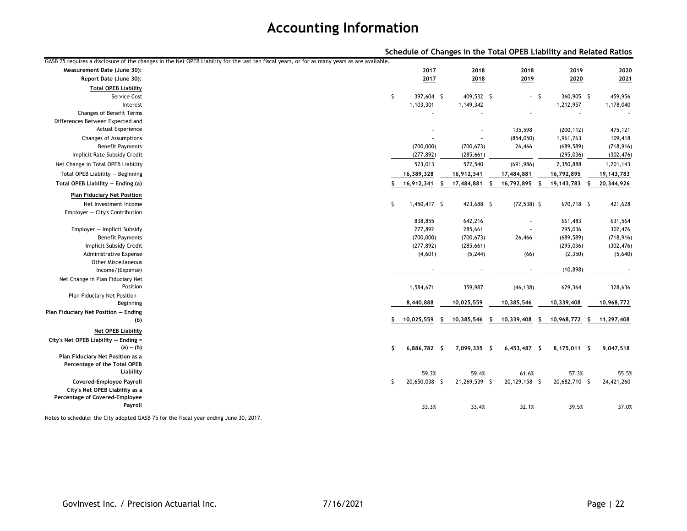|                                                                  |                                                                                                                                              |               |    |                          |    |                          |    | Schedule of Changes in the Total OPEB Liability and Related Ratios |    |              |
|------------------------------------------------------------------|----------------------------------------------------------------------------------------------------------------------------------------------|---------------|----|--------------------------|----|--------------------------|----|--------------------------------------------------------------------|----|--------------|
|                                                                  | GASB 75 requires a disclosure of the changes in the Net OPEB Liability for the last ten fiscal years, or for as many years as are available. |               |    |                          |    |                          |    |                                                                    |    |              |
| Measurement Date (June 30):                                      |                                                                                                                                              | 2017          |    | 2018                     |    | 2018                     |    | 2019                                                               |    | 2020         |
| Report Date (June 30):                                           |                                                                                                                                              | 2017          |    | 2018                     |    | 2019                     |    | 2020                                                               |    | 2021         |
| <b>Total OPEB Liability</b>                                      |                                                                                                                                              |               |    |                          |    |                          |    |                                                                    |    |              |
| Service Cost                                                     | \$                                                                                                                                           | 397,604 \$    |    | 409,532 \$               |    | $-5$                     |    | 360,905 \$                                                         |    | 459,956      |
| Interest                                                         |                                                                                                                                              | 1,103,301     |    | 1,149,342                |    | $\overline{\phantom{a}}$ |    | 1,212,957                                                          |    | 1,178,040    |
| Changes of Benefit Terms                                         |                                                                                                                                              |               |    |                          |    |                          |    |                                                                    |    |              |
| Differences Between Expected and                                 |                                                                                                                                              |               |    |                          |    |                          |    |                                                                    |    |              |
| <b>Actual Experience</b>                                         |                                                                                                                                              |               |    | $\overline{\phantom{a}}$ |    | 135,598                  |    | (200, 112)                                                         |    | 475,121      |
| Changes of Assumptions                                           |                                                                                                                                              |               |    |                          |    | (854, 050)               |    | 1,961,763                                                          |    | 109,418      |
| <b>Benefit Payments</b>                                          |                                                                                                                                              | (700,000)     |    | (700, 673)               |    | 26,466                   |    | (689, 589)                                                         |    | (718, 916)   |
| Implicit Rate Subsidy Credit                                     |                                                                                                                                              | (277, 892)    |    | (285, 661)               |    |                          |    | (295, 036)                                                         |    | (302, 476)   |
| Net Change in Total OPEB Liability                               |                                                                                                                                              | 523,013       |    | 572,540                  |    | (691, 986)               |    | 2,350,888                                                          |    | 1,201,143    |
| Total OPEB Liability - Beginning                                 |                                                                                                                                              | 16,389,328    |    | 16,912,341               |    | 17,484,881               |    | 16,792,895                                                         |    | 19, 143, 783 |
| Total OPEB Liability - Ending (a)                                |                                                                                                                                              | 16,912,341    | Ŝ. | 17,484,881               | Ŝ. | 16,792,895               | Ŝ. | 19, 143, 783                                                       | S. | 20,344,926   |
| <b>Plan Fiduciary Net Position</b>                               |                                                                                                                                              |               |    |                          |    |                          |    |                                                                    |    |              |
| Net Investment Income                                            | \$                                                                                                                                           | 1,450,417 \$  |    | 423,688 \$               |    | $(72, 538)$ \$           |    | 670,718 \$                                                         |    | 421,628      |
| Employer - City's Contribution                                   |                                                                                                                                              |               |    |                          |    |                          |    |                                                                    |    |              |
|                                                                  |                                                                                                                                              | 838,855       |    | 642,216                  |    |                          |    | 661,483                                                            |    | 631,564      |
| Employer - Implicit Subsidy                                      |                                                                                                                                              | 277,892       |    | 285,661                  |    |                          |    | 295,036                                                            |    | 302,476      |
| <b>Benefit Payments</b>                                          |                                                                                                                                              | (700,000)     |    | (700, 673)               |    | 26,466                   |    | (689, 589)                                                         |    | (718, 916)   |
| Implicit Subsidy Credit                                          |                                                                                                                                              | (277, 892)    |    | (285, 661)               |    |                          |    | (295, 036)                                                         |    | (302, 476)   |
| Administrative Expense                                           |                                                                                                                                              | (4,601)       |    | (5, 244)                 |    | (66)                     |    | (2, 350)                                                           |    | (5,640)      |
| <b>Other Miscellaneous</b><br>Income/(Expense)                   |                                                                                                                                              |               |    |                          |    |                          |    | (10, 898)                                                          |    |              |
|                                                                  |                                                                                                                                              |               |    |                          |    |                          |    |                                                                    |    |              |
| Net Change in Plan Fiduciary Net<br>Position                     |                                                                                                                                              |               |    |                          |    |                          |    |                                                                    |    | 328,636      |
| Plan Fiduciary Net Position -                                    |                                                                                                                                              | 1,584,671     |    | 359,987                  |    | (46, 138)                |    | 629,364                                                            |    |              |
| Beginning                                                        |                                                                                                                                              | 8,440,888     |    | 10,025,559               |    | 10,385,546               |    | 10,339,408                                                         |    | 10,968,772   |
| Plan Fiduciary Net Position - Ending                             |                                                                                                                                              |               |    |                          |    |                          |    |                                                                    |    |              |
| (b)                                                              |                                                                                                                                              | 10,025,559    | S  | 10,385,546               |    | 10,339,408               | -Ş | 10,968,772                                                         | -S | 11,297,408   |
| <b>Net OPEB Liability</b>                                        |                                                                                                                                              |               |    |                          |    |                          |    |                                                                    |    |              |
| City's Net OPEB Liability - Ending =                             |                                                                                                                                              |               |    |                          |    |                          |    |                                                                    |    |              |
| $(a) - (b)$                                                      | s.                                                                                                                                           | 6,886,782 \$  |    | 7,099,335 \$             |    | $6,453,487$ \$           |    | 8,175,011 \$                                                       |    | 9,047,518    |
| Plan Fiduciary Net Position as a                                 |                                                                                                                                              |               |    |                          |    |                          |    |                                                                    |    |              |
| Percentage of the Total OPEB                                     |                                                                                                                                              |               |    |                          |    |                          |    |                                                                    |    |              |
| Liability                                                        |                                                                                                                                              | 59.3%         |    | 59.4%                    |    | 61.6%                    |    | 57.3%                                                              |    | 55.5%        |
| Covered-Employee Payroll                                         | Ŝ                                                                                                                                            | 20,650,038 \$ |    | 21,269,539 \$            |    | 20,129,158 \$            |    | 20,682,710 \$                                                      |    | 24,421,260   |
| City's Net OPEB Liability as a<br>Percentage of Covered-Employee |                                                                                                                                              |               |    |                          |    |                          |    |                                                                    |    |              |
| Payroll                                                          |                                                                                                                                              |               |    |                          |    |                          |    |                                                                    |    |              |
|                                                                  |                                                                                                                                              | 33.3%         |    | 33.4%                    |    | 32.1%                    |    | 39.5%                                                              |    | 37.0%        |

Notes to schedule: the City adopted GASB 75 for the fiscal year ending June 30, 2017.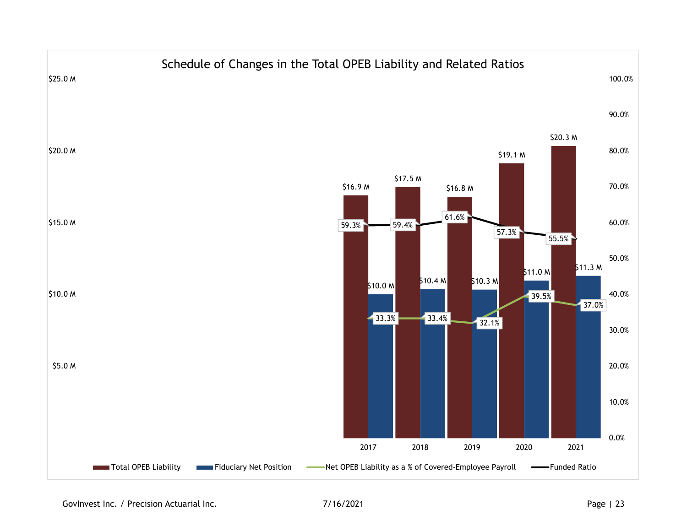

GovInvest Inc. / Precision Actuarial Inc.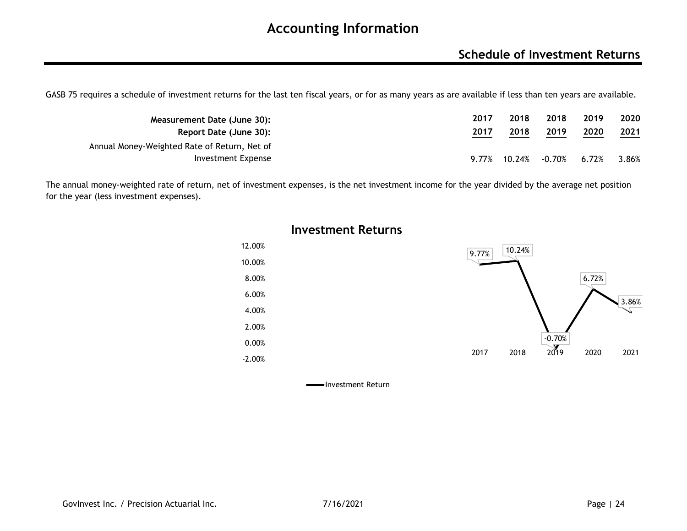### **Schedule of Investment Returns**

GASB 75 requires a schedule of investment returns for the last ten fiscal years, or for as many years as are available if less than ten years are available.

| Measurement Date (June 30):                  | 2017 | 2018         | 2018   | 2019  | 2020  |
|----------------------------------------------|------|--------------|--------|-------|-------|
| Report Date (June 30):                       | 2017 | 2018         | 2019   | 2020  | 2021  |
| Annual Money-Weighted Rate of Return, Net of |      |              |        |       |       |
| Investment Expense                           |      | 9.77% 10.24% | -0.70% | 6.72% | 3.86% |

The annual money-weighted rate of return, net of investment expenses, is the net investment income for the year divided by the average net position for the year (less investment expenses).



#### **Investment Returns**

Investment Return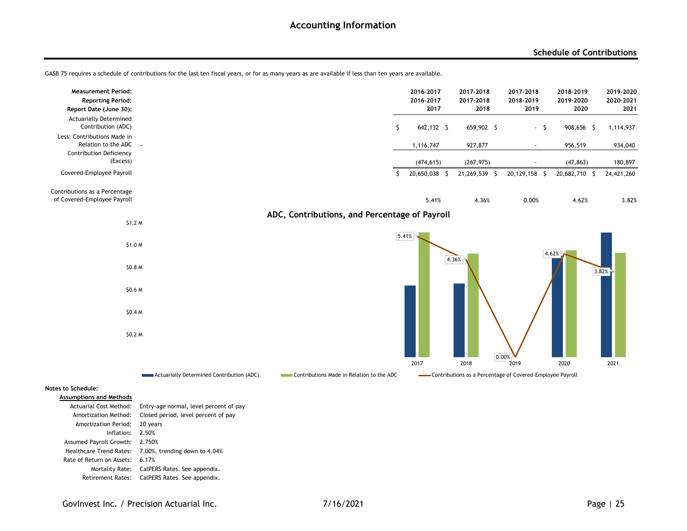#### **Schedule of Contributions**

| <b>Measurement Period:</b><br><b>Reporting Period:</b><br>Report Date (June 30):       |                                           |                                               |       | 2016-2017<br>2016-2017<br>2017 | 2017-2018<br>2017-2018<br>2018 | 2017-2018<br>2018-2019<br>2019                             | 2018-2019<br>2019-2020<br>2020 | 2019-2020<br>2020-2021<br>2021 |
|----------------------------------------------------------------------------------------|-------------------------------------------|-----------------------------------------------|-------|--------------------------------|--------------------------------|------------------------------------------------------------|--------------------------------|--------------------------------|
| <b>Actuarially Determined</b><br>Contribution (ADC)                                    |                                           | \$                                            |       | 642,132 \$                     | 659,902 \$                     | $-5$                                                       | 908,656 \$                     | 1,114,937                      |
| Less: Contributions Made in<br>Relation to the ADC -<br><b>Contribution Deficiency</b> |                                           |                                               |       | 1,116,747                      | 927,877                        | $\blacksquare$                                             | 956,519                        | 934,040                        |
| (Excess)                                                                               |                                           |                                               |       | (474, 615)                     | (267, 975)                     | $\overline{\phantom{a}}$                                   | (47, 863)                      | 180,897                        |
| Covered-Employee Payroll                                                               |                                           | S.                                            |       | 20,650,038 \$                  | 21,269,539 \$                  | 20,129,158 \$                                              | 20,682,710 \$                  | 24,421,260                     |
| Contributions as a Percentage<br>of Covered-Employee Payroll                           |                                           |                                               |       | 5.41%                          | 4.36%                          | 0.00%                                                      | 4.62%                          | 3.82%                          |
| \$1.2 <sub>M</sub>                                                                     |                                           | ADC, Contributions, and Percentage of Payroll |       |                                |                                |                                                            |                                |                                |
|                                                                                        |                                           |                                               | 5.41% |                                |                                |                                                            |                                |                                |
| \$1.0 M                                                                                |                                           |                                               |       |                                |                                |                                                            | 4.62%                          |                                |
| \$0.8 M                                                                                |                                           |                                               |       |                                | 4.36%                          |                                                            |                                | 3.82%                          |
| \$0.6 M                                                                                |                                           |                                               |       |                                |                                |                                                            |                                |                                |
| \$0.4 <sub>M</sub>                                                                     |                                           |                                               |       |                                |                                |                                                            |                                |                                |
| \$0.2 M                                                                                |                                           |                                               |       |                                |                                | 0.00%                                                      |                                |                                |
|                                                                                        |                                           |                                               |       | 2017                           | 2018                           | 2019                                                       | 2020                           | 2021                           |
|                                                                                        | Actuarially Determined Contribution (ADC) | Contributions Made in Relation to the ADC     |       |                                |                                | -Contributions as a Percentage of Covered-Employee Payroll |                                |                                |
| Notes to Schedule:                                                                     |                                           |                                               |       |                                |                                |                                                            |                                |                                |
| <b>Assumptions and Methods</b><br>Actuarial Cost Method:                               | Entry-age normal, level percent of pay    |                                               |       |                                |                                |                                                            |                                |                                |
| Amortization Method:                                                                   | Closed period, level percent of pay       |                                               |       |                                |                                |                                                            |                                |                                |

GASB 75 requires a schedule of contributions for the last ten fiscal years, or for as many years as are available if less than ten years are available.

Mortality Rate: CalPERS Rates. See appendix. Retirement Rates: CalPERS Rates. See appendix.

Healthcare Trend Rates: 7.00%, trending down to 4.04%

Amortization Period: 20 years Inflation:2.50%

Assumed Payroll Growth: 2.750%

Rate of Return on Assets: 6.17%

GovInvest Inc. / Precision Actuarial Inc.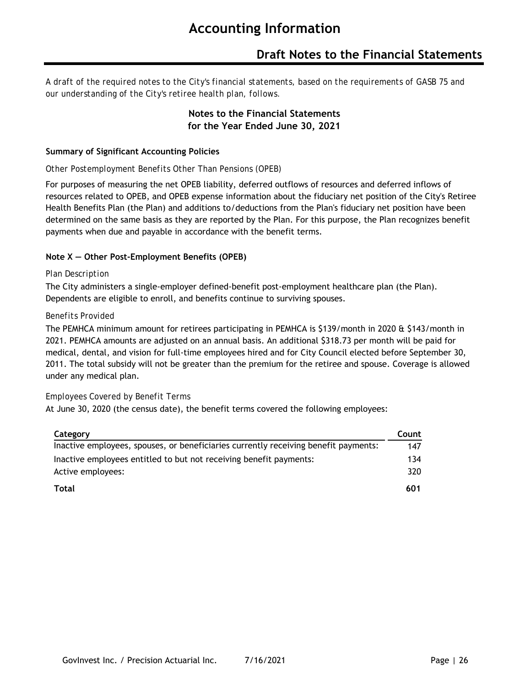### **Draft Notes to the Financial Statements**

*A draft of the required notes to the City's financial statements, based on the requirements of GASB 75 and our understanding of the City's retiree health plan, follows.*

#### **Notes to the Financial Statements for the Year Ended June 30, 2021**

#### **Summary of Significant Accounting Policies**

#### *Other Postemployment Benefits Other Than Pensions (OPEB)*

For purposes of measuring the net OPEB liability, deferred outflows of resources and deferred inflows of resources related to OPEB, and OPEB expense information about the fiduciary net position of the City's Retiree Health Benefits Plan (the Plan) and additions to/deductions from the Plan's fiduciary net position have been determined on the same basis as they are reported by the Plan. For this purpose, the Plan recognizes benefit payments when due and payable in accordance with the benefit terms.

#### **Note X — Other Post-Employment Benefits (OPEB)**

#### *Plan Description*

The City administers a single-employer defined-benefit post-employment healthcare plan (the Plan). Dependents are eligible to enroll, and benefits continue to surviving spouses.

#### *Benefits Provided*

The PEMHCA minimum amount for retirees participating in PEMHCA is \$139/month in 2020 & \$143/month in 2021. PEMHCA amounts are adjusted on an annual basis. An additional \$318.73 per month will be paid for medical, dental, and vision for full-time employees hired and for City Council elected before September 30, 2011. The total subsidy will not be greater than the premium for the retiree and spouse. Coverage is allowed under any medical plan.

#### *Employees Covered by Benefit Terms*

At June 30, 2020 (the census date), the benefit terms covered the following employees:

| Category                                                                            | Count |
|-------------------------------------------------------------------------------------|-------|
| Inactive employees, spouses, or beneficiaries currently receiving benefit payments: | 147   |
| Inactive employees entitled to but not receiving benefit payments:                  | 134   |
| Active employees:                                                                   | 320   |
| Total                                                                               | 601   |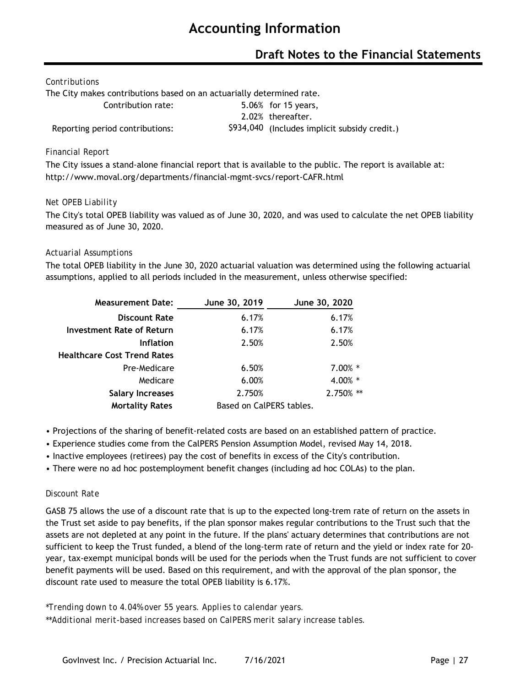### **Draft Notes to the Financial Statements**

#### *Contributions*

The City makes contributions based on an actuarially determined rate.

Contribution rate: 5.06% for 15 years, 2.02% thereafter. Reporting period contributions: \$934,040 (Includes implicit subsidy credit.)

#### *Financial Report*

The City issues a stand-alone financial report that is available to the public. The report is available at: http://www.moval.org/departments/financial-mgmt-svcs/report-CAFR.html

#### *Net OPEB Liability*

The City's total OPEB liability was valued as of June 30, 2020, and was used to calculate the net OPEB liability measured as of June 30, 2020.

#### *Actuarial Assumptions*

The total OPEB liability in the June 30, 2020 actuarial valuation was determined using the following actuarial assumptions, applied to all periods included in the measurement, unless otherwise specified:

| <b>Measurement Date:</b>           | June 30, 2019            | June 30, 2020    |
|------------------------------------|--------------------------|------------------|
| <b>Discount Rate</b>               | 6.17%                    | 6.17%            |
| Investment Rate of Return          | 6.17%                    | 6.17%            |
| <b>Inflation</b>                   | 2.50%                    | 2.50%            |
| <b>Healthcare Cost Trend Rates</b> |                          |                  |
| Pre-Medicare                       | 6.50%                    | $7.00\%$ *       |
| Medicare                           | 6.00%                    | 4.00% *          |
| <b>Salary Increases</b>            | 2.750%                   | $\ast$<br>2.750% |
| <b>Mortality Rates</b>             | Based on CalPERS tables. |                  |

- Projections of the sharing of benefit-related costs are based on an established pattern of practice.
- Experience studies come from the CalPERS Pension Assumption Model, revised May 14, 2018.
- Inactive employees (retirees) pay the cost of benefits in excess of the City's contribution.
- There were no ad hoc postemployment benefit changes (including ad hoc COLAs) to the plan.

#### *Discount Rate*

GASB 75 allows the use of a discount rate that is up to the expected long-trem rate of return on the assets in the Trust set aside to pay benefits, if the plan sponsor makes regular contributions to the Trust such that the assets are not depleted at any point in the future. If the plans' actuary determines that contributions are not sufficient to keep the Trust funded, a blend of the long-term rate of return and the yield or index rate for 20 year, tax-exempt municipal bonds will be used for the periods when the Trust funds are not sufficient to cover benefit payments will be used. Based on this requirement, and with the approval of the plan sponsor, the discount rate used to measure the total OPEB liability is 6.17%.

*\*Trending down to 4.04% over 55 years. Applies to calendar years.*

*\*\*Additional merit-based increases based on CalPERS merit salary increase tables.*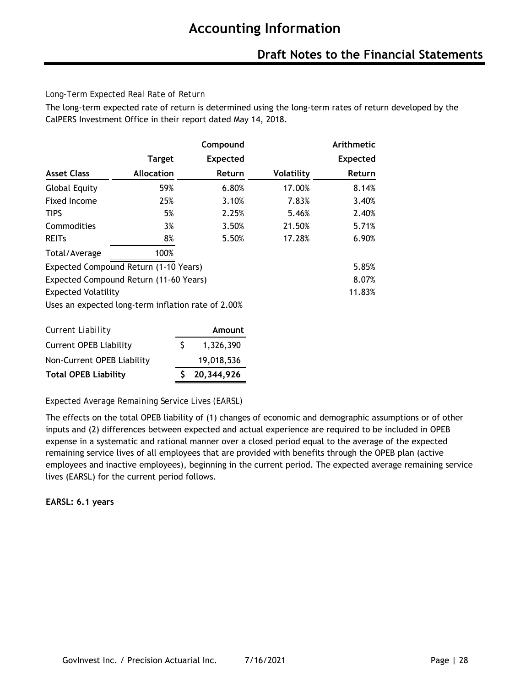#### *Long-Term Expected Real Rate of Return*

The long-term expected rate of return is determined using the long-term rates of return developed by the CalPERS Investment Office in their report dated May 14, 2018.

|                            |                                                    | Compound        |                   | Arithmetic      |
|----------------------------|----------------------------------------------------|-----------------|-------------------|-----------------|
|                            | <b>Target</b>                                      | <b>Expected</b> |                   | <b>Expected</b> |
| <b>Asset Class</b>         | <b>Allocation</b>                                  | Return          | <b>Volatility</b> | Return          |
| <b>Global Equity</b>       | 59%                                                | 6.80%           | 17.00%            | 8.14%           |
| Fixed Income               | 25%                                                | 3.10%           | 7.83%             | 3.40%           |
| <b>TIPS</b>                | 5%                                                 | 2.25%           | 5.46%             | 2.40%           |
| Commodities                | 3%                                                 | 3.50%           | 21.50%            | 5.71%           |
| <b>REITS</b>               | 8%                                                 | 5.50%           | 17.28%            | 6.90%           |
| Total/Average              | 100%                                               |                 |                   |                 |
|                            | Expected Compound Return (1-10 Years)              |                 |                   | 5.85%           |
|                            | Expected Compound Return (11-60 Years)             |                 |                   | 8.07%           |
| <b>Expected Volatility</b> |                                                    |                 |                   | 11.83%          |
|                            | Uses an expected long-term inflation rate of 2.00% |                 |                   |                 |

| Current Liability             |    | Amount       |
|-------------------------------|----|--------------|
| <b>Current OPEB Liability</b> | S. | 1,326,390    |
| Non-Current OPEB Liability    |    | 19,018,536   |
| <b>Total OPEB Liability</b>   |    | \$20,344,926 |

*Expected Average Remaining Service Lives (EARSL)*

The effects on the total OPEB liability of (1) changes of economic and demographic assumptions or of other inputs and (2) differences between expected and actual experience are required to be included in OPEB expense in a systematic and rational manner over a closed period equal to the average of the expected remaining service lives of all employees that are provided with benefits through the OPEB plan (active employees and inactive employees), beginning in the current period. The expected average remaining service lives (EARSL) for the current period follows.

**EARSL: 6.1 years**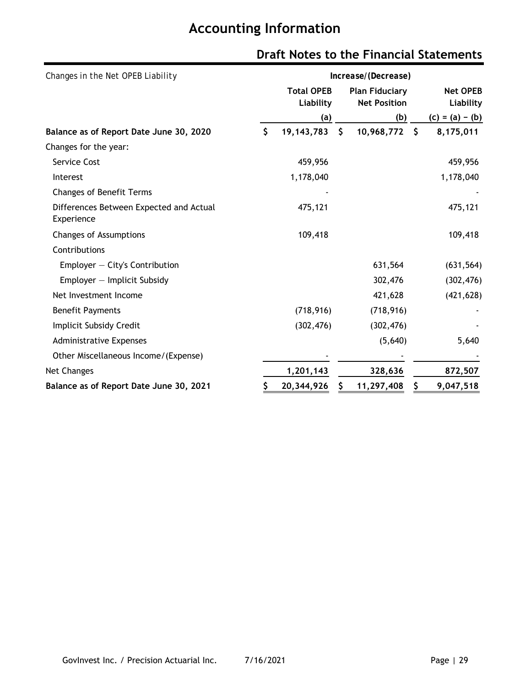| Changes in the Net OPEB Liability                     | Increase/(Decrease) |                                |                                              |     |                              |  |  |  |  |  |  |
|-------------------------------------------------------|---------------------|--------------------------------|----------------------------------------------|-----|------------------------------|--|--|--|--|--|--|
|                                                       |                     | <b>Total OPEB</b><br>Liability | <b>Plan Fiduciary</b><br><b>Net Position</b> |     | <b>Net OPEB</b><br>Liability |  |  |  |  |  |  |
|                                                       |                     | (a)                            | (b)                                          |     | $(c) = (a) - (b)$            |  |  |  |  |  |  |
| Balance as of Report Date June 30, 2020               | \$                  | 19, 143, 783<br>- \$           | 10,968,772                                   | -\$ | 8,175,011                    |  |  |  |  |  |  |
| Changes for the year:                                 |                     |                                |                                              |     |                              |  |  |  |  |  |  |
| Service Cost                                          |                     | 459,956                        |                                              |     | 459,956                      |  |  |  |  |  |  |
| Interest                                              |                     | 1,178,040                      |                                              |     | 1,178,040                    |  |  |  |  |  |  |
| <b>Changes of Benefit Terms</b>                       |                     |                                |                                              |     |                              |  |  |  |  |  |  |
| Differences Between Expected and Actual<br>Experience |                     | 475,121                        |                                              |     | 475,121                      |  |  |  |  |  |  |
| <b>Changes of Assumptions</b>                         |                     | 109,418                        |                                              |     | 109,418                      |  |  |  |  |  |  |
| Contributions                                         |                     |                                |                                              |     |                              |  |  |  |  |  |  |
| $Emplayer - City's Contribution$                      |                     |                                | 631,564                                      |     | (631, 564)                   |  |  |  |  |  |  |
| $Emplayer - Implicit Subsidy$                         |                     |                                | 302,476                                      |     | (302, 476)                   |  |  |  |  |  |  |
| Net Investment Income                                 |                     |                                | 421,628                                      |     | (421, 628)                   |  |  |  |  |  |  |
| <b>Benefit Payments</b>                               |                     | (718, 916)                     | (718, 916)                                   |     |                              |  |  |  |  |  |  |
| Implicit Subsidy Credit                               |                     | (302, 476)                     | (302, 476)                                   |     |                              |  |  |  |  |  |  |
| <b>Administrative Expenses</b>                        |                     |                                | (5,640)                                      |     | 5,640                        |  |  |  |  |  |  |
| Other Miscellaneous Income/(Expense)                  |                     |                                |                                              |     |                              |  |  |  |  |  |  |
| Net Changes                                           |                     | 1,201,143                      | 328,636                                      |     | 872,507                      |  |  |  |  |  |  |
| Balance as of Report Date June 30, 2021               |                     | 20,344,926                     | 11,297,408                                   |     | 9,047,518                    |  |  |  |  |  |  |

# **Draft Notes to the Financial Statements**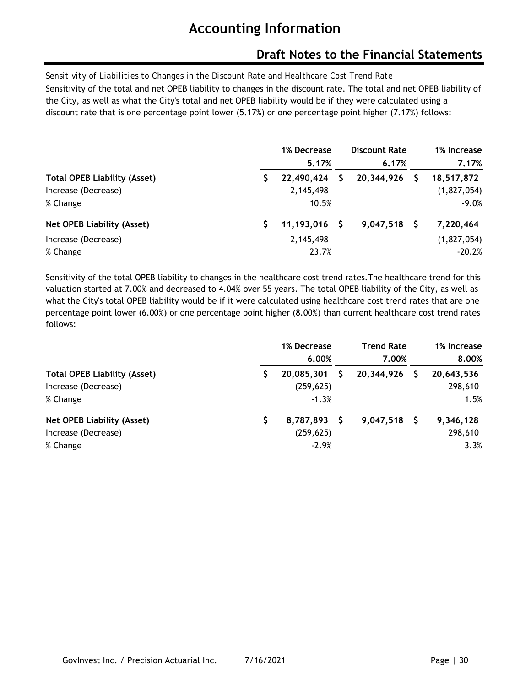### **Draft Notes to the Financial Statements**

*Sensitivity of Liabilities to Changes in the Discount Rate and Healthcare Cost Trend Rate* Sensitivity of the total and net OPEB liability to changes in the discount rate. The total and net OPEB liability of the City, as well as what the City's total and net OPEB liability would be if they were calculated using a discount rate that is one percentage point lower (5.17%) or one percentage point higher (7.17%) follows:

|                                     | 1% Decrease<br>5.17% | <b>Discount Rate</b><br>6.17% | 1% Increase<br>7.17% |
|-------------------------------------|----------------------|-------------------------------|----------------------|
| <b>Total OPEB Liability (Asset)</b> | 22,490,424           | 20,344,926                    | 18,517,872           |
| Increase (Decrease)                 | 2,145,498            |                               | (1,827,054)          |
| % Change                            | 10.5%                |                               | $-9.0%$              |
| <b>Net OPEB Liability (Asset)</b>   | $11,193,016$ \$      | $9,047,518$ \$                | 7,220,464            |
| Increase (Decrease)                 | 2,145,498            |                               | (1,827,054)          |
| % Change                            | 23.7%                |                               | $-20.2%$             |

Sensitivity of the total OPEB liability to changes in the healthcare cost trend rates.The healthcare trend for this valuation started at 7.00% and decreased to 4.04% over 55 years. The total OPEB liability of the City, as well as what the City's total OPEB liability would be if it were calculated using healthcare cost trend rates that are one percentage point lower (6.00%) or one percentage point higher (8.00%) than current healthcare cost trend rates follows:

|                                     | 1% Decrease<br>6.00% | <b>Trend Rate</b><br>7.00% | 1% Increase<br>8.00% |
|-------------------------------------|----------------------|----------------------------|----------------------|
| <b>Total OPEB Liability (Asset)</b> | 20,085,301           | 20,344,926                 | 20,643,536           |
| Increase (Decrease)                 | (259, 625)           |                            | 298,610              |
| % Change                            | $-1.3%$              |                            | 1.5%                 |
| <b>Net OPEB Liability (Asset)</b>   | 8,787,893 \$         | $9,047,518$ \$             | 9,346,128            |
| Increase (Decrease)                 | (259, 625)           |                            | 298,610              |
| % Change                            | $-2.9%$              |                            | 3.3%                 |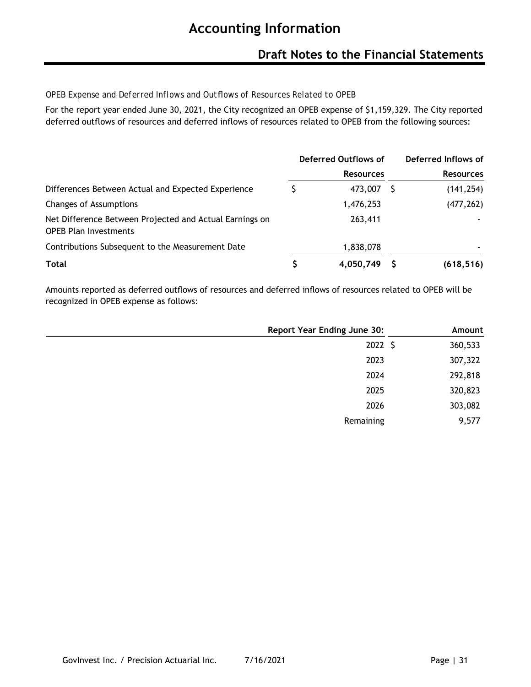### **Draft Notes to the Financial Statements**

#### *OPEB Expense and Deferred Inflows and Outflows of Resources Related to OPEB*

For the report year ended June 30, 2021, the City recognized an OPEB expense of \$1,159,329. The City reported deferred outflows of resources and deferred inflows of resources related to OPEB from the following sources:

|                                                                                         | Deferred Outflows of |                  | Deferred Inflows of |  |
|-----------------------------------------------------------------------------------------|----------------------|------------------|---------------------|--|
|                                                                                         |                      | <b>Resources</b> | <b>Resources</b>    |  |
| Differences Between Actual and Expected Experience                                      |                      | 473,007          | (141, 254)          |  |
| <b>Changes of Assumptions</b>                                                           |                      | 1,476,253        | (477, 262)          |  |
| Net Difference Between Projected and Actual Earnings on<br><b>OPEB Plan Investments</b> |                      | 263,411          |                     |  |
| Contributions Subsequent to the Measurement Date                                        |                      | 1,838,078        |                     |  |
| <b>Total</b>                                                                            |                      | 4,050,749        | (618, 516)          |  |

Amounts reported as deferred outflows of resources and deferred inflows of resources related to OPEB will be recognized in OPEB expense as follows:

| <b>Report Year Ending June 30:</b> | Amount  |
|------------------------------------|---------|
| $2022 \; \zeta$                    | 360,533 |
| 2023                               | 307,322 |
| 2024                               | 292,818 |
| 2025                               | 320,823 |
| 2026                               | 303,082 |
| Remaining                          | 9,577   |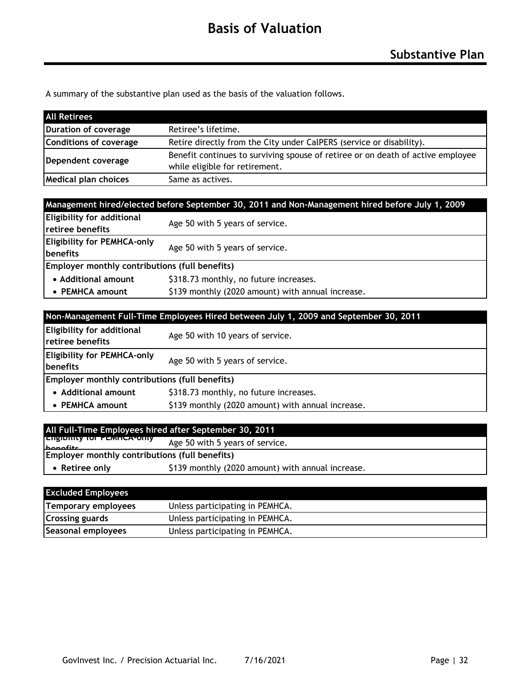A summary of the substantive plan used as the basis of the valuation follows.

| <b>All Retirees</b>         |                                                                                 |
|-----------------------------|---------------------------------------------------------------------------------|
| Duration of coverage        | Retiree's lifetime.                                                             |
| Conditions of coverage      | Retire directly from the City under CalPERS (service or disability).            |
| Dependent coverage          | Benefit continues to surviving spouse of retiree or on death of active employee |
|                             | while eligible for retirement.                                                  |
| <b>Medical plan choices</b> | Same as actives.                                                                |

| Management hired/elected before September 30, 2011 and Non-Management hired before July 1, 2009 |                                                   |  |  |  |  |  |
|-------------------------------------------------------------------------------------------------|---------------------------------------------------|--|--|--|--|--|
| Eligibility for additional<br>retiree benefits                                                  | Age 50 with 5 years of service.                   |  |  |  |  |  |
| <b>Eligibility for PEMHCA-only</b><br><b>Ibenefits</b>                                          | Age 50 with 5 years of service.                   |  |  |  |  |  |
| Employer monthly contributions (full benefits)                                                  |                                                   |  |  |  |  |  |
| • Additional amount                                                                             | \$318.73 monthly, no future increases.            |  |  |  |  |  |
| • PEMHCA amount                                                                                 | \$139 monthly (2020 amount) with annual increase. |  |  |  |  |  |

| Non-Management Full-Time Employees Hired between July 1, 2009 and September 30, 2011      |                                                   |  |  |  |  |  |
|-------------------------------------------------------------------------------------------|---------------------------------------------------|--|--|--|--|--|
| <b>Eligibility for additional</b><br><b>Tretiree benefits</b>                             | Age 50 with 10 years of service.                  |  |  |  |  |  |
| <b>Eligibility for PEMHCA-only</b><br>Age 50 with 5 years of service.<br><b>Ibenefits</b> |                                                   |  |  |  |  |  |
| Employer monthly contributions (full benefits)                                            |                                                   |  |  |  |  |  |
| • Additional amount                                                                       | \$318.73 monthly, no future increases.            |  |  |  |  |  |
| • PEMHCA amount                                                                           | \$139 monthly (2020 amount) with annual increase. |  |  |  |  |  |

|                                                                     | All Full-Time Employees hired after September 30, 2011 |  |  |  |  |  |
|---------------------------------------------------------------------|--------------------------------------------------------|--|--|--|--|--|
| <b>EUSIDING TO FEMILA-OILY</b><br>$h$ anafits                       | Age 50 with 5 years of service.                        |  |  |  |  |  |
| Employer monthly contributions (full benefits)                      |                                                        |  |  |  |  |  |
| \$139 monthly (2020 amount) with annual increase.<br>• Retiree only |                                                        |  |  |  |  |  |
|                                                                     |                                                        |  |  |  |  |  |

| <b>Excluded Employees</b> |                                 |
|---------------------------|---------------------------------|
| Temporary employees       | Unless participating in PEMHCA. |
| <b>Crossing guards</b>    | Unless participating in PEMHCA. |
| Seasonal employees        | Unless participating in PEMHCA. |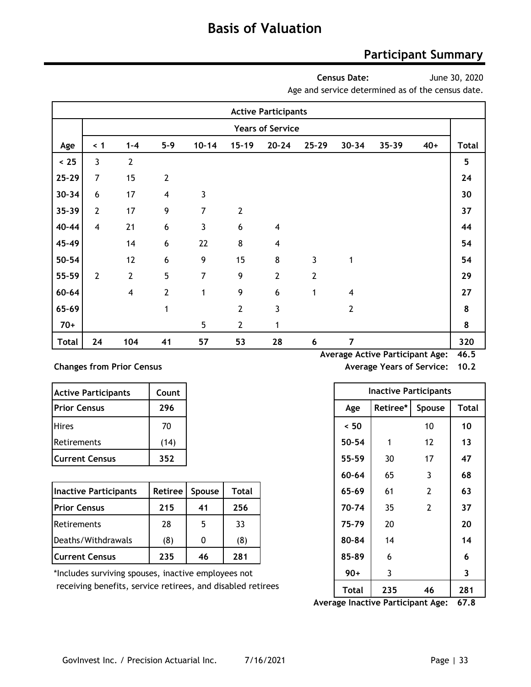### **Participant Summary**

**Census Date:**

June 30, 2020

Age and service determined as of the census date.

|              | <b>Active Participants</b> |                         |                         |                |                  |                         |                  |                         |       |       |              |
|--------------|----------------------------|-------------------------|-------------------------|----------------|------------------|-------------------------|------------------|-------------------------|-------|-------|--------------|
|              | <b>Years of Service</b>    |                         |                         |                |                  |                         |                  |                         |       |       |              |
| Age          | $\leq 1$                   | $1 - 4$                 | $5 - 9$                 | $10 - 14$      | $15 - 19$        | $20 - 24$               | $25 - 29$        | $30 - 34$               | 35-39 | $40+$ | <b>Total</b> |
| < 25         | $\mathbf{3}$               | $\mathbf{2}$            |                         |                |                  |                         |                  |                         |       |       | 5            |
| $25 - 29$    | 7                          | 15                      | $\overline{2}$          |                |                  |                         |                  |                         |       |       | 24           |
| $30 - 34$    | $6\,$                      | 17                      | $\overline{\mathbf{4}}$ | 3              |                  |                         |                  |                         |       |       | 30           |
| 35-39        | $\mathbf{2}$               | 17                      | 9                       | $\overline{7}$ | $\overline{2}$   |                         |                  |                         |       |       | 37           |
| 40-44        | $\overline{\mathbf{4}}$    | 21                      | $\boldsymbol{6}$        | 3              | $\boldsymbol{6}$ | $\overline{\mathbf{4}}$ |                  |                         |       |       | 44           |
| 45-49        |                            | 14                      | 6                       | 22             | 8                | $\overline{\mathbf{4}}$ |                  |                         |       |       | 54           |
| 50-54        |                            | 12                      | $\boldsymbol{6}$        | 9              | 15               | 8                       | 3                | 1                       |       |       | 54           |
| 55-59        | $\mathbf{2}$               | $\mathbf{2}$            | 5                       | 7              | 9                | $\overline{2}$          | $\overline{2}$   |                         |       |       | 29           |
| 60-64        |                            | $\overline{\mathbf{4}}$ | $\overline{2}$          | 1              | 9                | 6                       | 1                | $\overline{\mathbf{4}}$ |       |       | 27           |
| 65-69        |                            |                         | 1                       |                | $\mathbf{2}$     | 3                       |                  | $\mathbf{2}$            |       |       | 8            |
| $70+$        |                            |                         |                         | 5              | $\overline{2}$   | 1                       |                  |                         |       |       | 8            |
| <b>Total</b> | 24                         | 104                     | 41                      | 57             | 53               | 28                      | $\boldsymbol{6}$ | $\overline{7}$          |       |       | 320          |

#### **Changes from Prior Census Average Years of Service: 10.22**

| <b>Active Participants</b> | Count |
|----------------------------|-------|
| <b>Prior Census</b>        | 296   |
| <b>Hires</b>               | 70    |
| Retirements                | (14)  |
| <b>Current Census</b>      | 352   |

| Inactive Participants | Retiree | <b>Spouse</b> | Total | 65-69 | 61 | 63 |
|-----------------------|---------|---------------|-------|-------|----|----|
| <b>Prior Census</b>   | 215     | 41            | 256   | 70-74 | 35 | 37 |
| Retirements           | 28      |               | 33    | 75-79 | 20 | 20 |
| Deaths/Withdrawals    | (8)     |               | (8)   | 80-84 | 14 | 14 |
| <b>Current Census</b> | 235     | 46            | 281   | 85-89 | 6  | -6 |

**Average Active Participant Age: 46.5**

|  |  |  | verage Years of Service: 10.2 |  |
|--|--|--|-------------------------------|--|
|--|--|--|-------------------------------|--|

| <b>Active Participants</b>                                  | Count          |        |       |     |           | <b>Inactive Participants</b> |                |              |
|-------------------------------------------------------------|----------------|--------|-------|-----|-----------|------------------------------|----------------|--------------|
| <b>Prior Census</b>                                         | 296            |        |       |     | Age       | Retiree*                     | Spouse         | <b>Total</b> |
| <b>Hires</b>                                                | 70             |        |       |     | < 50      |                              | 10             | 10           |
| Retirements                                                 | (14)           |        |       |     | $50 - 54$ | 1                            | 12             | 13           |
| <b>Current Census</b>                                       | 352            |        |       |     | 55-59     | 30                           | 17             | 47           |
|                                                             |                |        |       |     | $60 - 64$ | 65                           | 3              | 68           |
| <b>Inactive Participants</b>                                | <b>Retiree</b> | Spouse | Total |     | 65-69     | 61                           | $\overline{2}$ | 63           |
| <b>Prior Census</b>                                         | 215            | 41     | 256   |     | 70-74     | 35                           | $\overline{2}$ | 37           |
| Retirements                                                 | 28             | 5      | 33    |     | 75-79     | 20                           |                | 20           |
| Deaths/Withdrawals                                          | (8)            | 0      | (8)   |     | 80-84     | 14                           |                | 14           |
| <b>Current Census</b>                                       | 235            | 46     | 281   |     | 85-89     | 6                            |                | 6            |
| *Includes surviving spouses, inactive employees not         |                |        |       |     | $90+$     | 3                            |                | 3            |
| receiving benefits, service retirees, and disabled retirees | Total          | 235    | 46    | 281 |           |                              |                |              |

**Average Inactive Participant Age: 67.8**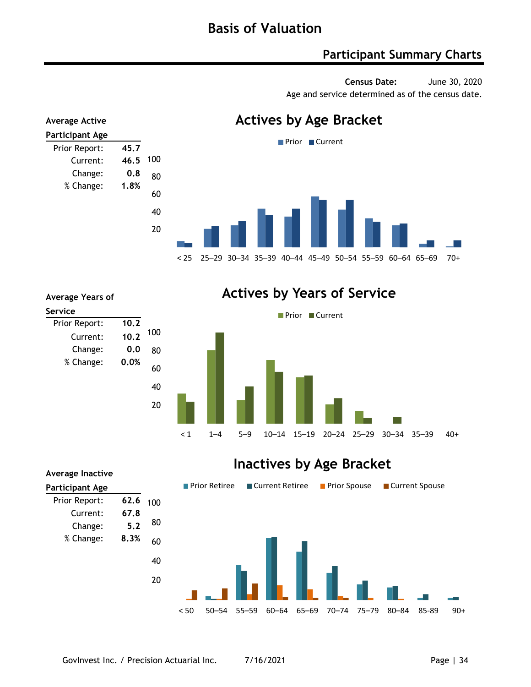### **Participant Summary Charts**

**Census Date:** June 30, 2020 Age and service determined as of the census date.



Prior Report: **10.2** Current: **10.2**  Change: **0.0**  % Change: **0.0% Average Years of Service** 20 40 60 80 100

### **Actives by Years of Service**



### **Inactives by Age Bracket**

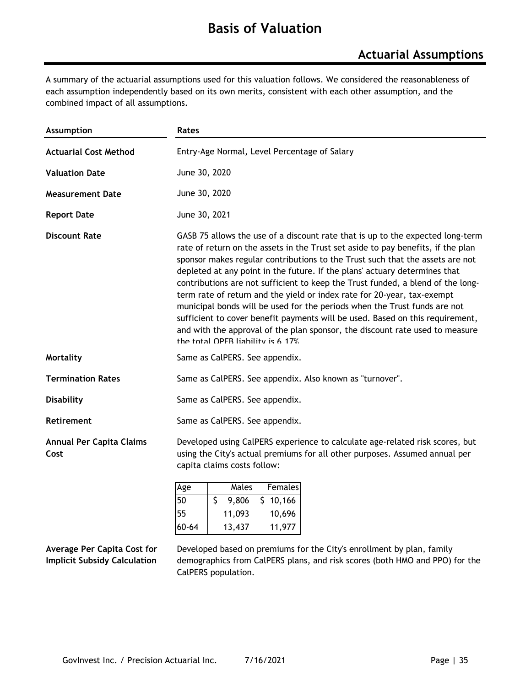### **Basis of Valuation**

A summary of the actuarial assumptions used for this valuation follows. We considered the reasonableness of each assumption independently based on its own merits, consistent with each other assumption, and the combined impact of all assumptions.

| Assumption                              | Rates                                                                                                                                                                                                                                                                                                                                                                                                                                                                                                                                                                                                                                                                                                                                                                              |  |  |  |  |  |  |
|-----------------------------------------|------------------------------------------------------------------------------------------------------------------------------------------------------------------------------------------------------------------------------------------------------------------------------------------------------------------------------------------------------------------------------------------------------------------------------------------------------------------------------------------------------------------------------------------------------------------------------------------------------------------------------------------------------------------------------------------------------------------------------------------------------------------------------------|--|--|--|--|--|--|
| <b>Actuarial Cost Method</b>            | Entry-Age Normal, Level Percentage of Salary                                                                                                                                                                                                                                                                                                                                                                                                                                                                                                                                                                                                                                                                                                                                       |  |  |  |  |  |  |
| <b>Valuation Date</b>                   | June 30, 2020                                                                                                                                                                                                                                                                                                                                                                                                                                                                                                                                                                                                                                                                                                                                                                      |  |  |  |  |  |  |
| <b>Measurement Date</b>                 | June 30, 2020                                                                                                                                                                                                                                                                                                                                                                                                                                                                                                                                                                                                                                                                                                                                                                      |  |  |  |  |  |  |
| <b>Report Date</b>                      | June 30, 2021                                                                                                                                                                                                                                                                                                                                                                                                                                                                                                                                                                                                                                                                                                                                                                      |  |  |  |  |  |  |
| <b>Discount Rate</b>                    | GASB 75 allows the use of a discount rate that is up to the expected long-term<br>rate of return on the assets in the Trust set aside to pay benefits, if the plan<br>sponsor makes regular contributions to the Trust such that the assets are not<br>depleted at any point in the future. If the plans' actuary determines that<br>contributions are not sufficient to keep the Trust funded, a blend of the long-<br>term rate of return and the yield or index rate for 20-year, tax-exempt<br>municipal bonds will be used for the periods when the Trust funds are not<br>sufficient to cover benefit payments will be used. Based on this requirement,<br>and with the approval of the plan sponsor, the discount rate used to measure<br>the total OPFR liability is 6 17% |  |  |  |  |  |  |
| Mortality                               | Same as CalPERS. See appendix.                                                                                                                                                                                                                                                                                                                                                                                                                                                                                                                                                                                                                                                                                                                                                     |  |  |  |  |  |  |
| <b>Termination Rates</b>                | Same as CalPERS. See appendix. Also known as "turnover".                                                                                                                                                                                                                                                                                                                                                                                                                                                                                                                                                                                                                                                                                                                           |  |  |  |  |  |  |
| <b>Disability</b>                       | Same as CalPERS. See appendix.                                                                                                                                                                                                                                                                                                                                                                                                                                                                                                                                                                                                                                                                                                                                                     |  |  |  |  |  |  |
| Retirement                              | Same as CalPERS. See appendix.                                                                                                                                                                                                                                                                                                                                                                                                                                                                                                                                                                                                                                                                                                                                                     |  |  |  |  |  |  |
| <b>Annual Per Capita Claims</b><br>Cost | Developed using CalPERS experience to calculate age-related risk scores, but<br>using the City's actual premiums for all other purposes. Assumed annual per<br>capita claims costs follow:                                                                                                                                                                                                                                                                                                                                                                                                                                                                                                                                                                                         |  |  |  |  |  |  |
|                                         |                                                                                                                                                                                                                                                                                                                                                                                                                                                                                                                                                                                                                                                                                                                                                                                    |  |  |  |  |  |  |

| Age   | Males  | Females  |
|-------|--------|----------|
| 50    | 9,806  | \$10,166 |
| 55    | 11,093 | 10,696   |
| 60-64 | 13,437 | 11,977   |

**Average Per Capita Cost for Implicit Subsidy Calculation**

Developed based on premiums for the City's enrollment by plan, family demographics from CalPERS plans, and risk scores (both HMO and PPO) for the CalPERS population.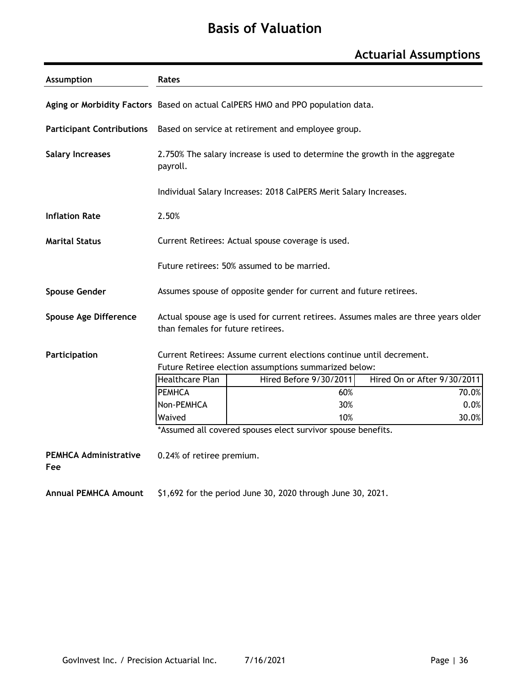# **Basis of Valuation**

### **Actuarial Assumptions**

| <b>Assumption</b>                   | Rates                                                              |                                                                                     |                             |  |  |  |  |  |  |  |
|-------------------------------------|--------------------------------------------------------------------|-------------------------------------------------------------------------------------|-----------------------------|--|--|--|--|--|--|--|
|                                     |                                                                    | Aging or Morbidity Factors Based on actual CalPERS HMO and PPO population data.     |                             |  |  |  |  |  |  |  |
|                                     |                                                                    | Participant Contributions Based on service at retirement and employee group.        |                             |  |  |  |  |  |  |  |
| <b>Salary Increases</b>             | payroll.                                                           | 2.750% The salary increase is used to determine the growth in the aggregate         |                             |  |  |  |  |  |  |  |
|                                     |                                                                    | Individual Salary Increases: 2018 CalPERS Merit Salary Increases.                   |                             |  |  |  |  |  |  |  |
| <b>Inflation Rate</b>               | 2.50%                                                              |                                                                                     |                             |  |  |  |  |  |  |  |
| <b>Marital Status</b>               |                                                                    | Current Retirees: Actual spouse coverage is used.                                   |                             |  |  |  |  |  |  |  |
|                                     |                                                                    | Future retirees: 50% assumed to be married.                                         |                             |  |  |  |  |  |  |  |
| <b>Spouse Gender</b>                | Assumes spouse of opposite gender for current and future retirees. |                                                                                     |                             |  |  |  |  |  |  |  |
| <b>Spouse Age Difference</b>        | than females for future retirees.                                  | Actual spouse age is used for current retirees. Assumes males are three years older |                             |  |  |  |  |  |  |  |
| Participation                       |                                                                    | Current Retirees: Assume current elections continue until decrement.                |                             |  |  |  |  |  |  |  |
|                                     |                                                                    | Future Retiree election assumptions summarized below:                               |                             |  |  |  |  |  |  |  |
|                                     | <b>Healthcare Plan</b>                                             | Hired Before 9/30/2011                                                              | Hired On or After 9/30/2011 |  |  |  |  |  |  |  |
|                                     | <b>PEMHCA</b>                                                      | 60%                                                                                 | 70.0%                       |  |  |  |  |  |  |  |
|                                     | Non-PEMHCA                                                         | 30%                                                                                 | 0.0%                        |  |  |  |  |  |  |  |
|                                     | Waived                                                             | 10%                                                                                 | 30.0%                       |  |  |  |  |  |  |  |
|                                     |                                                                    | *Assumed all covered spouses elect survivor spouse benefits.                        |                             |  |  |  |  |  |  |  |
| <b>PEMHCA Administrative</b><br>Fee | 0.24% of retiree premium.                                          |                                                                                     |                             |  |  |  |  |  |  |  |
| <b>Annual PEMHCA Amount</b>         |                                                                    | \$1,692 for the period June 30, 2020 through June 30, 2021.                         |                             |  |  |  |  |  |  |  |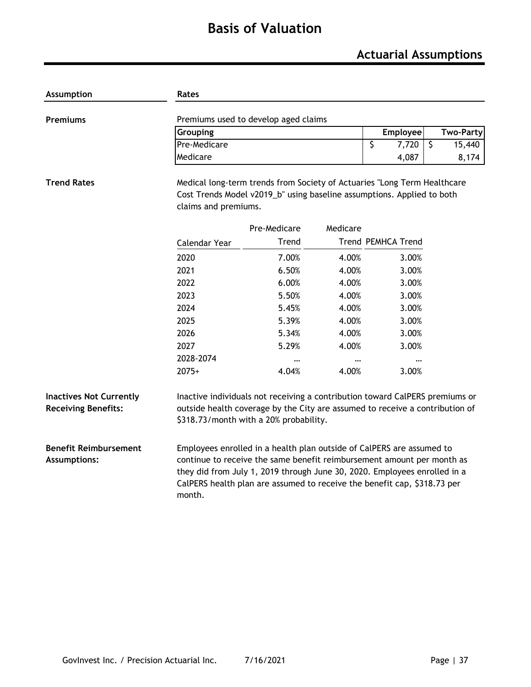# **Basis of Valuation**

### **Actuarial Assumptions**

| <b>Assumption</b>                                            | Rates                                                                                                                                                                                                                                                                                                              |              |          |                           |                   |  |  |  |  |  |  |  |
|--------------------------------------------------------------|--------------------------------------------------------------------------------------------------------------------------------------------------------------------------------------------------------------------------------------------------------------------------------------------------------------------|--------------|----------|---------------------------|-------------------|--|--|--|--|--|--|--|
| <b>Premiums</b>                                              | Premiums used to develop aged claims                                                                                                                                                                                                                                                                               |              |          |                           |                   |  |  |  |  |  |  |  |
|                                                              | Grouping                                                                                                                                                                                                                                                                                                           |              |          | Employee                  | <b>Two-Party</b>  |  |  |  |  |  |  |  |
|                                                              | Pre-Medicare                                                                                                                                                                                                                                                                                                       |              |          | \$<br>7,720               | $\zeta$<br>15,440 |  |  |  |  |  |  |  |
|                                                              | Medicare                                                                                                                                                                                                                                                                                                           |              |          | 4,087                     | 8,174             |  |  |  |  |  |  |  |
| <b>Trend Rates</b>                                           | Medical long-term trends from Society of Actuaries "Long Term Healthcare<br>Cost Trends Model v2019_b" using baseline assumptions. Applied to both<br>claims and premiums.                                                                                                                                         |              |          |                           |                   |  |  |  |  |  |  |  |
|                                                              |                                                                                                                                                                                                                                                                                                                    | Pre-Medicare | Medicare |                           |                   |  |  |  |  |  |  |  |
|                                                              | Calendar Year                                                                                                                                                                                                                                                                                                      | Trend        |          | <b>Trend PEMHCA Trend</b> |                   |  |  |  |  |  |  |  |
|                                                              | 2020                                                                                                                                                                                                                                                                                                               | 7.00%        | 4.00%    | 3.00%                     |                   |  |  |  |  |  |  |  |
|                                                              | 2021                                                                                                                                                                                                                                                                                                               | 6.50%        | 4.00%    | 3.00%                     |                   |  |  |  |  |  |  |  |
|                                                              | 2022                                                                                                                                                                                                                                                                                                               | 6.00%        | 4.00%    | 3.00%                     |                   |  |  |  |  |  |  |  |
|                                                              | 2023                                                                                                                                                                                                                                                                                                               | 5.50%        | 4.00%    | 3.00%                     |                   |  |  |  |  |  |  |  |
|                                                              | 2024                                                                                                                                                                                                                                                                                                               | 5.45%        | 4.00%    | 3.00%                     |                   |  |  |  |  |  |  |  |
|                                                              | 2025                                                                                                                                                                                                                                                                                                               | 5.39%        | 4.00%    | 3.00%                     |                   |  |  |  |  |  |  |  |
|                                                              | 2026                                                                                                                                                                                                                                                                                                               | 5.34%        | 4.00%    | 3.00%                     |                   |  |  |  |  |  |  |  |
|                                                              | 2027                                                                                                                                                                                                                                                                                                               | 5.29%        | 4.00%    | 3.00%                     |                   |  |  |  |  |  |  |  |
|                                                              | 2028-2074                                                                                                                                                                                                                                                                                                          | $\cdots$     |          |                           |                   |  |  |  |  |  |  |  |
|                                                              | $2075+$                                                                                                                                                                                                                                                                                                            | 4.04%        | 4.00%    | 3.00%                     |                   |  |  |  |  |  |  |  |
| <b>Inactives Not Currently</b><br><b>Receiving Benefits:</b> | Inactive individuals not receiving a contribution toward CalPERS premiums or<br>outside health coverage by the City are assumed to receive a contribution of<br>\$318.73/month with a 20% probability.                                                                                                             |              |          |                           |                   |  |  |  |  |  |  |  |
| <b>Benefit Reimbursement</b><br><b>Assumptions:</b>          | Employees enrolled in a health plan outside of CalPERS are assumed to<br>continue to receive the same benefit reimbursement amount per month as<br>they did from July 1, 2019 through June 30, 2020. Employees enrolled in a<br>CalPERS health plan are assumed to receive the benefit cap, \$318.73 per<br>month. |              |          |                           |                   |  |  |  |  |  |  |  |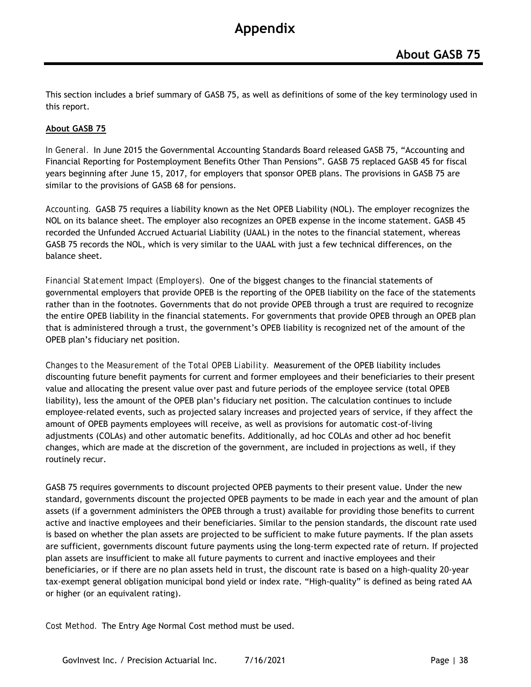This section includes a brief summary of GASB 75, as well as definitions of some of the key terminology used in this report.

#### **About GASB 75**

*In General.* In June 2015 the Governmental Accounting Standards Board released GASB 75, "Accounting and Financial Reporting for Postemployment Benefits Other Than Pensions". GASB 75 replaced GASB 45 for fiscal years beginning after June 15, 2017, for employers that sponsor OPEB plans. The provisions in GASB 75 are similar to the provisions of GASB 68 for pensions.

*Accounting.* GASB 75 requires a liability known as the Net OPEB Liability (NOL). The employer recognizes the NOL on its balance sheet. The employer also recognizes an OPEB expense in the income statement. GASB 45 recorded the Unfunded Accrued Actuarial Liability (UAAL) in the notes to the financial statement, whereas GASB 75 records the NOL, which is very similar to the UAAL with just a few technical differences, on the balance sheet.

*Financial Statement Impact (Employers).* One of the biggest changes to the financial statements of governmental employers that provide OPEB is the reporting of the OPEB liability on the face of the statements rather than in the footnotes. Governments that do not provide OPEB through a trust are required to recognize the entire OPEB liability in the financial statements. For governments that provide OPEB through an OPEB plan that is administered through a trust, the government's OPEB liability is recognized net of the amount of the OPEB plan's fiduciary net position.

*Changes to the Measurement of the Total OPEB Liability.* Measurement of the OPEB liability includes discounting future benefit payments for current and former employees and their beneficiaries to their present value and allocating the present value over past and future periods of the employee service (total OPEB liability), less the amount of the OPEB plan's fiduciary net position. The calculation continues to include employee-related events, such as projected salary increases and projected years of service, if they affect the amount of OPEB payments employees will receive, as well as provisions for automatic cost-of-living adjustments (COLAs) and other automatic benefits. Additionally, ad hoc COLAs and other ad hoc benefit changes, which are made at the discretion of the government, are included in projections as well, if they routinely recur.

GASB 75 requires governments to discount projected OPEB payments to their present value. Under the new standard, governments discount the projected OPEB payments to be made in each year and the amount of plan assets (if a government administers the OPEB through a trust) available for providing those benefits to current active and inactive employees and their beneficiaries. Similar to the pension standards, the discount rate used is based on whether the plan assets are projected to be sufficient to make future payments. If the plan assets are sufficient, governments discount future payments using the long-term expected rate of return. If projected plan assets are insufficient to make all future payments to current and inactive employees and their beneficiaries, or if there are no plan assets held in trust, the discount rate is based on a high-quality 20-year tax-exempt general obligation municipal bond yield or index rate. "High-quality" is defined as being rated AA or higher (or an equivalent rating).

*Cost Method.* The Entry Age Normal Cost method must be used.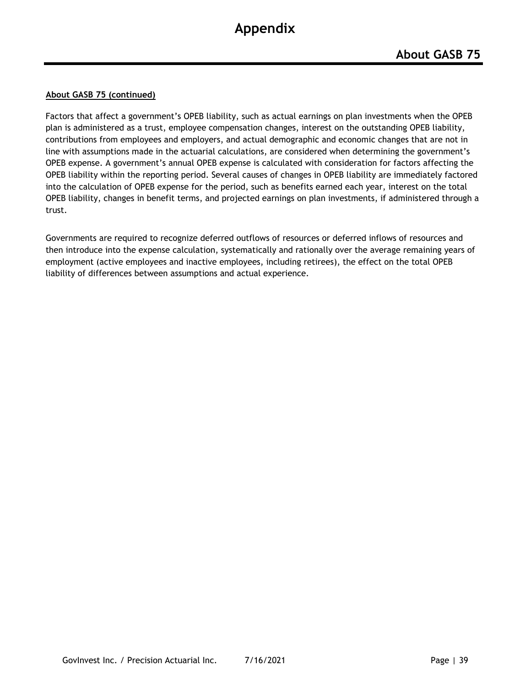#### **About GASB 75 (continued)**

Factors that affect a government's OPEB liability, such as actual earnings on plan investments when the OPEB plan is administered as a trust, employee compensation changes, interest on the outstanding OPEB liability, contributions from employees and employers, and actual demographic and economic changes that are not in line with assumptions made in the actuarial calculations, are considered when determining the government's OPEB expense. A government's annual OPEB expense is calculated with consideration for factors affecting the OPEB liability within the reporting period. Several causes of changes in OPEB liability are immediately factored into the calculation of OPEB expense for the period, such as benefits earned each year, interest on the total OPEB liability, changes in benefit terms, and projected earnings on plan investments, if administered through a trust.

Governments are required to recognize deferred outflows of resources or deferred inflows of resources and then introduce into the expense calculation, systematically and rationally over the average remaining years of employment (active employees and inactive employees, including retirees), the effect on the total OPEB liability of differences between assumptions and actual experience.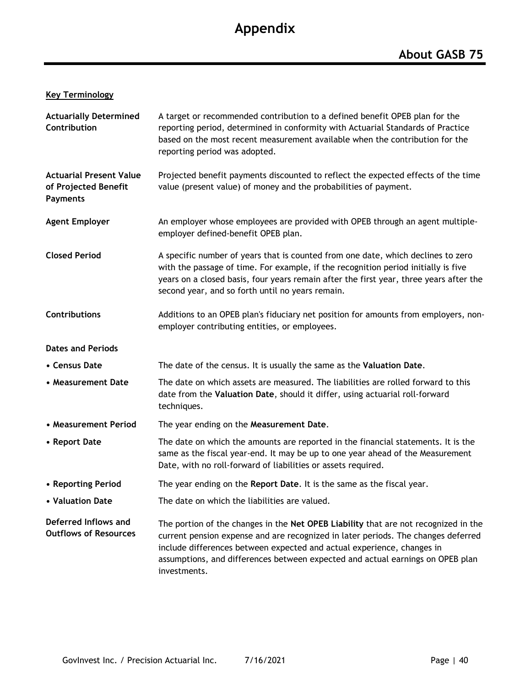#### **Key Terminology**

| <b>Actuarially Determined</b><br>Contribution                             | A target or recommended contribution to a defined benefit OPEB plan for the<br>reporting period, determined in conformity with Actuarial Standards of Practice<br>based on the most recent measurement available when the contribution for the<br>reporting period was adopted.                                                                      |
|---------------------------------------------------------------------------|------------------------------------------------------------------------------------------------------------------------------------------------------------------------------------------------------------------------------------------------------------------------------------------------------------------------------------------------------|
| <b>Actuarial Present Value</b><br>of Projected Benefit<br><b>Payments</b> | Projected benefit payments discounted to reflect the expected effects of the time<br>value (present value) of money and the probabilities of payment.                                                                                                                                                                                                |
| <b>Agent Employer</b>                                                     | An employer whose employees are provided with OPEB through an agent multiple-<br>employer defined-benefit OPEB plan.                                                                                                                                                                                                                                 |
| <b>Closed Period</b>                                                      | A specific number of years that is counted from one date, which declines to zero<br>with the passage of time. For example, if the recognition period initially is five<br>years on a closed basis, four years remain after the first year, three years after the<br>second year, and so forth until no years remain.                                 |
| Contributions                                                             | Additions to an OPEB plan's fiduciary net position for amounts from employers, non-<br>employer contributing entities, or employees.                                                                                                                                                                                                                 |
| <b>Dates and Periods</b>                                                  |                                                                                                                                                                                                                                                                                                                                                      |
| • Census Date                                                             | The date of the census. It is usually the same as the Valuation Date.                                                                                                                                                                                                                                                                                |
| • Measurement Date                                                        | The date on which assets are measured. The liabilities are rolled forward to this<br>date from the Valuation Date, should it differ, using actuarial roll-forward<br>techniques.                                                                                                                                                                     |
| • Measurement Period                                                      | The year ending on the Measurement Date.                                                                                                                                                                                                                                                                                                             |
| • Report Date                                                             | The date on which the amounts are reported in the financial statements. It is the<br>same as the fiscal year-end. It may be up to one year ahead of the Measurement<br>Date, with no roll-forward of liabilities or assets required.                                                                                                                 |
| • Reporting Period                                                        | The year ending on the Report Date. It is the same as the fiscal year.                                                                                                                                                                                                                                                                               |
| • Valuation Date                                                          | The date on which the liabilities are valued.                                                                                                                                                                                                                                                                                                        |
| Deferred Inflows and<br><b>Outflows of Resources</b>                      | The portion of the changes in the Net OPEB Liability that are not recognized in the<br>current pension expense and are recognized in later periods. The changes deferred<br>include differences between expected and actual experience, changes in<br>assumptions, and differences between expected and actual earnings on OPEB plan<br>investments. |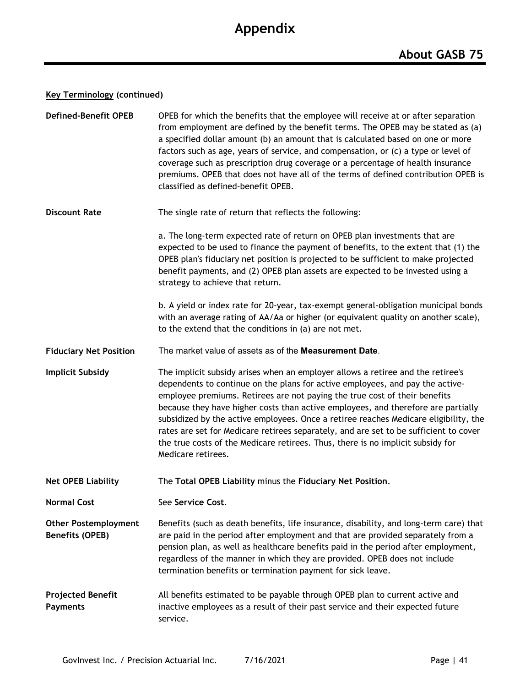#### **Key Terminology (continued)**

| <b>Defined-Benefit OPEB</b>                           | OPEB for which the benefits that the employee will receive at or after separation<br>from employment are defined by the benefit terms. The OPEB may be stated as (a)<br>a specified dollar amount (b) an amount that is calculated based on one or more<br>factors such as age, years of service, and compensation, or (c) a type or level of<br>coverage such as prescription drug coverage or a percentage of health insurance<br>premiums. OPEB that does not have all of the terms of defined contribution OPEB is<br>classified as defined-benefit OPEB.                                                                 |
|-------------------------------------------------------|-------------------------------------------------------------------------------------------------------------------------------------------------------------------------------------------------------------------------------------------------------------------------------------------------------------------------------------------------------------------------------------------------------------------------------------------------------------------------------------------------------------------------------------------------------------------------------------------------------------------------------|
| <b>Discount Rate</b>                                  | The single rate of return that reflects the following:                                                                                                                                                                                                                                                                                                                                                                                                                                                                                                                                                                        |
|                                                       | a. The long-term expected rate of return on OPEB plan investments that are<br>expected to be used to finance the payment of benefits, to the extent that (1) the<br>OPEB plan's fiduciary net position is projected to be sufficient to make projected<br>benefit payments, and (2) OPEB plan assets are expected to be invested using a<br>strategy to achieve that return.                                                                                                                                                                                                                                                  |
|                                                       | b. A yield or index rate for 20-year, tax-exempt general-obligation municipal bonds<br>with an average rating of AA/Aa or higher (or equivalent quality on another scale),<br>to the extend that the conditions in (a) are not met.                                                                                                                                                                                                                                                                                                                                                                                           |
| <b>Fiduciary Net Position</b>                         | The market value of assets as of the Measurement Date.                                                                                                                                                                                                                                                                                                                                                                                                                                                                                                                                                                        |
| <b>Implicit Subsidy</b>                               | The implicit subsidy arises when an employer allows a retiree and the retiree's<br>dependents to continue on the plans for active employees, and pay the active-<br>employee premiums. Retirees are not paying the true cost of their benefits<br>because they have higher costs than active employees, and therefore are partially<br>subsidized by the active employees. Once a retiree reaches Medicare eligibility, the<br>rates are set for Medicare retirees separately, and are set to be sufficient to cover<br>the true costs of the Medicare retirees. Thus, there is no implicit subsidy for<br>Medicare retirees. |
| <b>Net OPEB Liability</b>                             | The Total OPEB Liability minus the Fiduciary Net Position.                                                                                                                                                                                                                                                                                                                                                                                                                                                                                                                                                                    |
| <b>Normal Cost</b>                                    | See Service Cost.                                                                                                                                                                                                                                                                                                                                                                                                                                                                                                                                                                                                             |
| <b>Other Postemployment</b><br><b>Benefits (OPEB)</b> | Benefits (such as death benefits, life insurance, disability, and long-term care) that<br>are paid in the period after employment and that are provided separately from a<br>pension plan, as well as healthcare benefits paid in the period after employment,<br>regardless of the manner in which they are provided. OPEB does not include<br>termination benefits or termination payment for sick leave.                                                                                                                                                                                                                   |
| <b>Projected Benefit</b><br><b>Payments</b>           | All benefits estimated to be payable through OPEB plan to current active and<br>inactive employees as a result of their past service and their expected future<br>service.                                                                                                                                                                                                                                                                                                                                                                                                                                                    |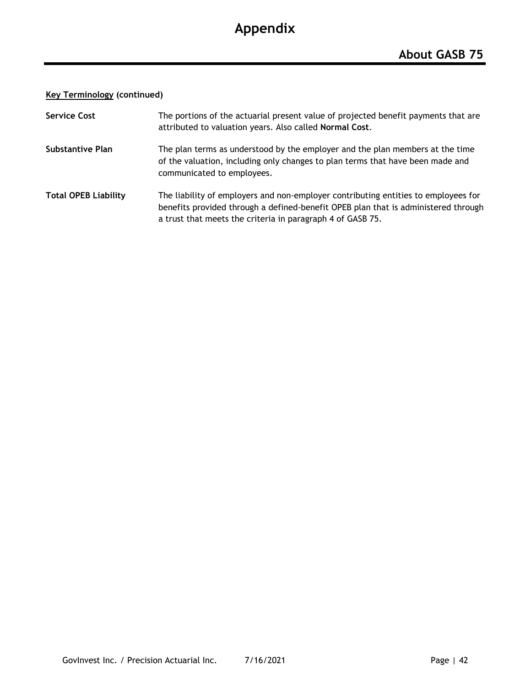#### **Key Terminology (continued)**

| <b>Service Cost</b>         | The portions of the actuarial present value of projected benefit payments that are<br>attributed to valuation years. Also called Normal Cost.                                                                                          |
|-----------------------------|----------------------------------------------------------------------------------------------------------------------------------------------------------------------------------------------------------------------------------------|
| Substantive Plan            | The plan terms as understood by the employer and the plan members at the time<br>of the valuation, including only changes to plan terms that have been made and<br>communicated to employees.                                          |
| <b>Total OPEB Liability</b> | The liability of employers and non-employer contributing entities to employees for<br>benefits provided through a defined-benefit OPEB plan that is administered through<br>a trust that meets the criteria in paragraph 4 of GASB 75. |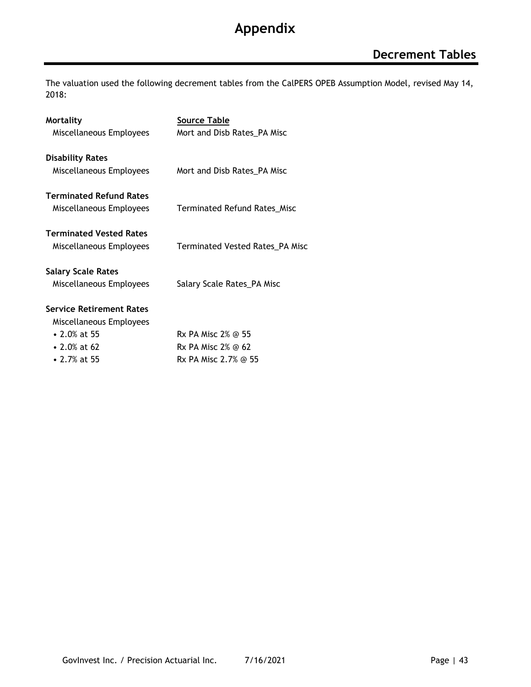The valuation used the following decrement tables from the CalPERS OPEB Assumption Model, revised May 14, 2018:

| <b>Mortality</b>                | Source Table                        |
|---------------------------------|-------------------------------------|
| Miscellaneous Employees         | Mort and Disb Rates_PA Misc         |
| <b>Disability Rates</b>         |                                     |
| Miscellaneous Employees         | Mort and Disb Rates_PA Misc         |
| <b>Terminated Refund Rates</b>  |                                     |
| Miscellaneous Employees         | <b>Terminated Refund Rates_Misc</b> |
| <b>Terminated Vested Rates</b>  |                                     |
| Miscellaneous Employees         | Terminated Vested Rates_PA Misc     |
| <b>Salary Scale Rates</b>       |                                     |
| Miscellaneous Employees         | Salary Scale Rates_PA Misc          |
| <b>Service Retirement Rates</b> |                                     |
| Miscellaneous Employees         |                                     |
| • 2.0% at 55                    | Rx PA Misc 2% @ 55                  |
| • 2.0% at 62                    | Rx PA Misc 2% @ 62                  |
| • 2.7% at 55                    | Rx PA Misc 2.7% @ 55                |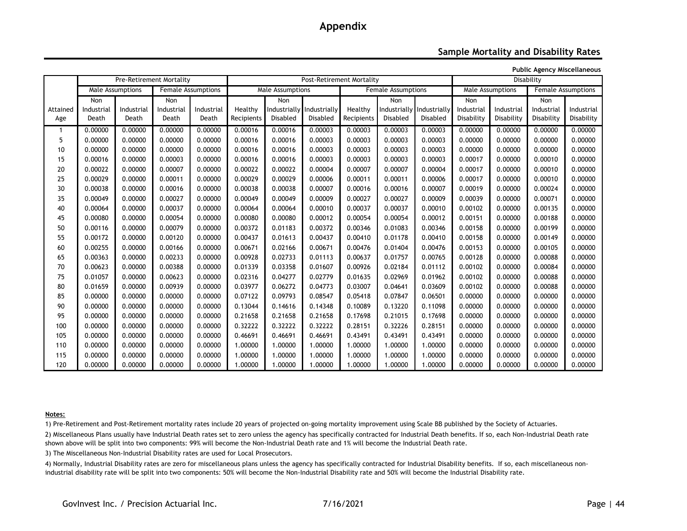#### **Sample Mortality and Disability Rates**

**Public Agency Miscellaneous**

|          | <b>Pre-Retirement Mortality</b> |            |            |                           | Post-Retirement Mortality |                  |                           |                           |                           |                  | Disability |            |                           |            |
|----------|---------------------------------|------------|------------|---------------------------|---------------------------|------------------|---------------------------|---------------------------|---------------------------|------------------|------------|------------|---------------------------|------------|
|          | <b>Male Assumptions</b>         |            |            | <b>Female Assumptions</b> |                           | Male Assumptions |                           | <b>Female Assumptions</b> |                           | Male Assumptions |            |            | <b>Female Assumptions</b> |            |
|          | <b>Non</b>                      |            | Non        |                           |                           | Non              |                           |                           | <b>Non</b>                |                  | Non        |            | Non                       |            |
| Attained | Industrial                      | Industrial | Industrial | Industrial                | Healthy                   |                  | Industrially Industrially | Healthy                   | Industrially Industrially |                  | Industrial | Industrial | Industrial                | Industrial |
| Age      | Death                           | Death      | Death      | Death                     | Recipients                | <b>Disabled</b>  | Disabled                  | Recipients                | Disabled                  | Disabled         | Disability | Disability | Disability                | Disability |
|          | 0.00000                         | 0.00000    | 0.00000    | 0.00000                   | 0.00016                   | 0.00016          | 0.00003                   | 0.00003                   | 0.00003                   | 0.00003          | 0.00000    | 0.00000    | 0.00000                   | 0.00000    |
| 5        | 0.00000                         | 0.00000    | 0.00000    | 0.00000                   | 0.00016                   | 0.00016          | 0.00003                   | 0.00003                   | 0.00003                   | 0.00003          | 0.00000    | 0.00000    | 0.00000                   | 0.00000    |
| 10       | 0.00000                         | 0.00000    | 0.00000    | 0.00000                   | 0.00016                   | 0.00016          | 0.00003                   | 0.00003                   | 0.00003                   | 0.00003          | 0.00000    | 0.00000    | 0.00000                   | 0.00000    |
| 15       | 0.00016                         | 0.00000    | 0.00003    | 0.00000                   | 0.00016                   | 0.00016          | 0.00003                   | 0.00003                   | 0.00003                   | 0.00003          | 0.00017    | 0.00000    | 0.00010                   | 0.00000    |
| 20       | 0.00022                         | 0.00000    | 0.00007    | 0.00000                   | 0.00022                   | 0.00022          | 0.00004                   | 0.00007                   | 0.00007                   | 0.00004          | 0.00017    | 0.00000    | 0.00010                   | 0.00000    |
| 25       | 0.00029                         | 0.00000    | 0.00011    | 0.00000                   | 0.00029                   | 0.00029          | 0.00006                   | 0.00011                   | 0.00011                   | 0.00006          | 0.00017    | 0.00000    | 0.00010                   | 0.00000    |
| 30       | 0.00038                         | 0.00000    | 0.00016    | 0.00000                   | 0.00038                   | 0.00038          | 0.00007                   | 0.00016                   | 0.00016                   | 0.00007          | 0.00019    | 0.00000    | 0.00024                   | 0.00000    |
| 35       | 0.00049                         | 0.00000    | 0.00027    | 0.00000                   | 0.00049                   | 0.00049          | 0.00009                   | 0.00027                   | 0.00027                   | 0.00009          | 0.00039    | 0.00000    | 0.00071                   | 0.00000    |
| 40       | 0.00064                         | 0.00000    | 0.00037    | 0.00000                   | 0.00064                   | 0.00064          | 0.00010                   | 0.00037                   | 0.00037                   | 0.00010          | 0.00102    | 0.00000    | 0.00135                   | 0.00000    |
| 45       | 0.00080                         | 0.00000    | 0.00054    | 0.00000                   | 0.00080                   | 0.00080          | 0.00012                   | 0.00054                   | 0.00054                   | 0.00012          | 0.00151    | 0.00000    | 0.00188                   | 0.00000    |
| 50       | 0.00116                         | 0.00000    | 0.00079    | 0.00000                   | 0.00372                   | 0.01183          | 0.00372                   | 0.00346                   | 0.01083                   | 0.00346          | 0.00158    | 0.00000    | 0.00199                   | 0.00000    |
| 55       | 0.00172                         | 0.00000    | 0.00120    | 0.00000                   | 0.00437                   | 0.01613          | 0.00437                   | 0.00410                   | 0.01178                   | 0.00410          | 0.00158    | 0.00000    | 0.00149                   | 0.00000    |
| 60       | 0.00255                         | 0.00000    | 0.00166    | 0.00000                   | 0.00671                   | 0.02166          | 0.00671                   | 0.00476                   | 0.01404                   | 0.00476          | 0.00153    | 0.00000    | 0.00105                   | 0.00000    |
| 65       | 0.00363                         | 0.00000    | 0.00233    | 0.00000                   | 0.00928                   | 0.02733          | 0.01113                   | 0.00637                   | 0.01757                   | 0.00765          | 0.00128    | 0.00000    | 0.00088                   | 0.00000    |
| 70       | 0.00623                         | 0.00000    | 0.00388    | 0.00000                   | 0.01339                   | 0.03358          | 0.01607                   | 0.00926                   | 0.02184                   | 0.01112          | 0.00102    | 0.00000    | 0.00084                   | 0.00000    |
| 75       | 0.01057                         | 0.00000    | 0.00623    | 0.00000                   | 0.02316                   | 0.04277          | 0.02779                   | 0.01635                   | 0.02969                   | 0.01962          | 0.00102    | 0.00000    | 0.00088                   | 0.00000    |
| 80       | 0.01659                         | 0.00000    | 0.00939    | 0.00000                   | 0.03977                   | 0.06272          | 0.04773                   | 0.03007                   | 0.04641                   | 0.03609          | 0.00102    | 0.00000    | 0.00088                   | 0.00000    |
| 85       | 0.00000                         | 0.00000    | 0.00000    | 0.00000                   | 0.07122                   | 0.09793          | 0.08547                   | 0.05418                   | 0.07847                   | 0.06501          | 0.00000    | 0.00000    | 0.00000                   | 0.00000    |
| 90       | 0.00000                         | 0.00000    | 0.00000    | 0.00000                   | 0.13044                   | 0.14616          | 0.14348                   | 0.10089                   | 0.13220                   | 0.11098          | 0.00000    | 0.00000    | 0.00000                   | 0.00000    |
| 95       | 0.00000                         | 0.00000    | 0.00000    | 0.00000                   | 0.21658                   | 0.21658          | 0.21658                   | 0.17698                   | 0.21015                   | 0.17698          | 0.00000    | 0.00000    | 0.00000                   | 0.00000    |
| 100      | 0.00000                         | 0.00000    | 0.00000    | 0.00000                   | 0.32222                   | 0.32222          | 0.32222                   | 0.28151                   | 0.32226                   | 0.28151          | 0.00000    | 0.00000    | 0.00000                   | 0.00000    |
| 105      | 0.00000                         | 0.00000    | 0.00000    | 0.00000                   | 0.46691                   | 0.46691          | 0.46691                   | 0.43491                   | 0.43491                   | 0.43491          | 0.00000    | 0.00000    | 0.00000                   | 0.00000    |
| 110      | 0.00000                         | 0.00000    | 0.00000    | 0.00000                   | 1.00000                   | 1.00000          | 1.00000                   | 1.00000                   | 1.00000                   | 1.00000          | 0.00000    | 0.00000    | 0.00000                   | 0.00000    |
| 115      | 0.00000                         | 0.00000    | 0.00000    | 0.00000                   | 1.00000                   | 1.00000          | 1.00000                   | 1.00000                   | 1.00000                   | 1.00000          | 0.00000    | 0.00000    | 0.00000                   | 0.00000    |
| 120      | 0.00000                         | 0.00000    | 0.00000    | 0.00000                   | 1.00000                   | 1.00000          | 1.00000                   | 1.00000                   | 1.00000                   | 1.00000          | 0.00000    | 0.00000    | 0.00000                   | 0.00000    |

#### **Notes:**

1) Pre-Retirement and Post-Retirement mortality rates include 20 years of projected on-going mortality improvement using Scale BB published by the Society of Actuaries.

2) Miscellaneous Plans usually have Industrial Death rates set to zero unless the agency has specifically contracted for Industrial Death benefits. If so, each Non-Industrial Death rate shown above will be split into two components: 99% will become the Non-Industrial Death rate and 1% will become the Industrial Death rate.

3) The Miscellaneous Non-Industrial Disability rates are used for Local Prosecutors.

4) Normally, Industrial Disability rates are zero for miscellaneous plans unless the agency has specifically contracted for Industrial Disability benefits. If so, each miscellaneous nonindustrial disability rate will be split into two components: 50% will become the Non-Industrial Disability rate and 50% will become the Industrial Disability rate.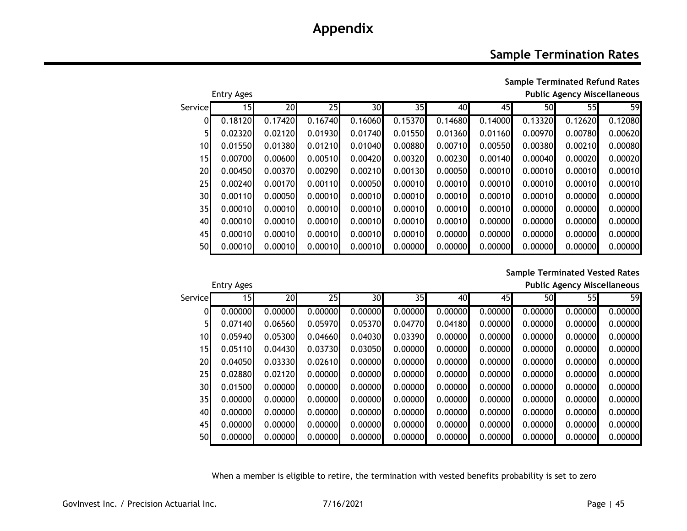### **Sample Termination Rates**

**Sample Terminated Refund Rates** Entry Ages **Public Agency Miscellaneous**

| Servicel        | 15 <sub>l</sub> | 20      | 25      | 30      | 35      | 40      | 45      | 50      | 55      | 59      |
|-----------------|-----------------|---------|---------|---------|---------|---------|---------|---------|---------|---------|
| ΩI              | 0.18120         | 0.17420 | 0.16740 | 0.16060 | 0.15370 | 0.14680 | 0.14000 | 0.13320 | 0.12620 | 0.12080 |
| 5 <sub>l</sub>  | 0.02320         | 0.02120 | 0.01930 | 0.01740 | 0.01550 | 0.01360 | 0.01160 | 0.00970 | 0.00780 | 0.00620 |
| 10 <sup>1</sup> | 0.01550         | 0.01380 | 0.01210 | 0.01040 | 0.00880 | 0.00710 | 0.00550 | 0.00380 | 0.00210 | 0.00080 |
| 15              | 0.00700         | 0.00600 | 0.00510 | 0.00420 | 0.00320 | 0.00230 | 0.00140 | 0.00040 | 0.00020 | 0.00020 |
| 20              | 0.00450         | 0.00370 | 0.00290 | 0.00210 | 0.00130 | 0.00050 | 0.00010 | 0.00010 | 0.00010 | 0.00010 |
| 25              | 0.00240         | 0.00170 | 0.00110 | 0.00050 | 0.00010 | 0.00010 | 0.00010 | 0.00010 | 0.00010 | 0.00010 |
| 30              | 0.00110         | 0.00050 | 0.00010 | 0.00010 | 0.00010 | 0.00010 | 0.00010 | 0.00010 | 0.00000 | 0.00000 |
| 35              | 0.00010         | 0.00010 | 0.00010 | 0.00010 | 0.00010 | 0.00010 | 0.00010 | 0.00000 | 0.00000 | 0.00000 |
| 40              | 0.00010         | 0.00010 | 0.00010 | 0.00010 | 0.00010 | 0.00010 | 0.00000 | 0.00000 | 0.00000 | 0.00000 |
| 45              | 0.00010         | 0.00010 | 0.00010 | 0.00010 | 0.00010 | 0.00000 | 0.00000 | 0.00000 | 0.00000 | 0.00000 |
| 50              | 0.00010         | 0.00010 | 0.00010 | 0.00010 | 0.00000 | 0.00000 | 0.00000 | 0.00000 | 0.00000 | 0.00000 |

#### **Sample Terminated Vested Rates**

Entry Ages **Public Agency Miscellaneous**

|                 | ----------- |         |         |         |         |         |         |         |         |         |
|-----------------|-------------|---------|---------|---------|---------|---------|---------|---------|---------|---------|
| Service         | 15I         | 20      | 25      | 30      | 35I     | 40      | 45I     | 50      | 55      | 59      |
| 01              | 0.00000     | 0.00000 | 0.00000 | 0.00000 | 0.00000 | 0.00000 | 0.00000 | 0.00000 | 0.00000 | 0.00000 |
| 5 <sub>l</sub>  | 0.07140     | 0.06560 | 0.05970 | 0.05370 | 0.04770 | 0.04180 | 0.00000 | 0.00000 | 0.00000 | 0.00000 |
| 10 <sup>1</sup> | 0.05940     | 0.05300 | 0.04660 | 0.04030 | 0.03390 | 0.00000 | 0.00000 | 0.00000 | 0.00000 | 0.00000 |
| 15              | 0.05110     | 0.04430 | 0.03730 | 0.03050 | 0.00000 | 0.00000 | 0.00000 | 0.00000 | 0.00000 | 0.00000 |
| 20              | 0.04050     | 0.03330 | 0.02610 | 0.00000 | 0.00000 | 0.00000 | 0.00000 | 0.00000 | 0.00000 | 0.00000 |
| 25              | 0.02880     | 0.02120 | 0.00000 | 0.00000 | 0.00000 | 0.00000 | 0.00000 | 0.00000 | 0.00000 | 0.00000 |
| 30 <sup>l</sup> | 0.01500     | 0.00000 | 0.00000 | 0.00000 | 0.00000 | 0.00000 | 0.00000 | 0.00000 | 0.00000 | 0.00000 |
| 35              | 0.00000     | 0.00000 | 0.00000 | 0.00000 | 0.00000 | 0.00000 | 0.00000 | 0.00000 | 0.00000 | 0.00000 |
| 40              | 0.00000     | 0.00000 | 0.00000 | 0.00000 | 0.00000 | 0.00000 | 0.00000 | 0.00000 | 0.00000 | 0.00000 |
| 45              | 0.00000     | 0.00000 | 0.00000 | 0.00000 | 0.00000 | 0.00000 | 0.00000 | 0.00000 | 0.00000 | 0.00000 |
| 50              | 0.00000     | 0.00000 | 0.00000 | 0.00000 | 0.00000 | 0.00000 | 0.00000 | 0.00000 | 0.00000 | 0.00000 |

When a member is eligible to retire, the termination with vested benefits probability is set to zero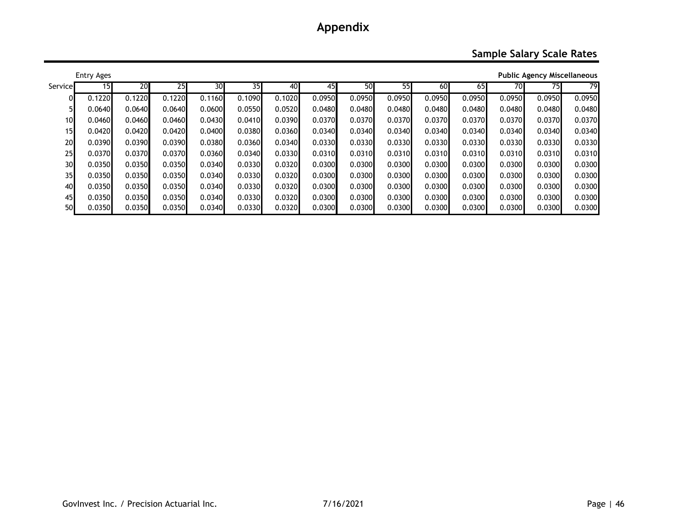### **Sample Salary Scale Rates**

| <b>Public Agency Miscellaneous</b><br><b>Entry Ages</b> |        |        |        |        |        |        |        |        |        |        |        |        |        |        |
|---------------------------------------------------------|--------|--------|--------|--------|--------|--------|--------|--------|--------|--------|--------|--------|--------|--------|
| Service                                                 | 151    | 20     | 25     | 30     | 35I    | 40     | 45     | 50     | 55     | 60     | 65     | 70     | 75I    | 79     |
| 01                                                      | 0.1220 | 0.1220 | 0.1220 | 0.1160 | 0.1090 | 0.1020 | 0.0950 | 0.0950 | 0.0950 | 0.0950 | 0.0950 | 0.0950 | 0.0950 | 0.0950 |
| 51                                                      | 0.0640 | 0.0640 | 0.0640 | 0.0600 | 0.0550 | 0.0520 | 0.0480 | 0.0480 | 0.0480 | 0.0480 | 0.0480 | 0.0480 | 0.0480 | 0.0480 |
| 10                                                      | 0.0460 | 0.0460 | 0.0460 | 0.0430 | 0.0410 | 0.0390 | 0.0370 | 0.0370 | 0.0370 | 0.0370 | 0.0370 | 0.0370 | 0.0370 | 0.0370 |
| 15                                                      | 0.0420 | 0.0420 | 0.0420 | 0.0400 | 0.0380 | 0.0360 | 0.0340 | 0.0340 | 0.0340 | 0.0340 | 0.0340 | 0.0340 | 0.0340 | 0.0340 |
| 20                                                      | 0.0390 | 0.0390 | 0.0390 | 0.0380 | 0.0360 | 0.0340 | 0.0330 | 0.0330 | 0.0330 | 0.0330 | 0.0330 | 0.0330 | 0.0330 | 0.0330 |
| 25                                                      | 0.0370 | 0.0370 | 0.0370 | 0.0360 | 0.0340 | 0.0330 | 0.0310 | 0.0310 | 0.0310 | 0.0310 | 0.0310 | 0.0310 | 0.0310 | 0.0310 |
| 30                                                      | 0.0350 | 0.0350 | 0.0350 | 0.0340 | 0.0330 | 0.0320 | 0.0300 | 0.0300 | 0.0300 | 0.0300 | 0.0300 | 0.0300 | 0.0300 | 0.0300 |
| 35                                                      | 0.0350 | 0.0350 | 0.0350 | 0.0340 | 0.0330 | 0.0320 | 0.0300 | 0.0300 | 0.0300 | 0.0300 | 0.0300 | 0.0300 | 0.0300 | 0.0300 |
| 40                                                      | 0.0350 | 0.0350 | 0.0350 | 0.0340 | 0.0330 | 0.0320 | 0.0300 | 0.0300 | 0.0300 | 0.0300 | 0.0300 | 0.0300 | 0.0300 | 0.0300 |
| 45                                                      | 0.0350 | 0.0350 | 0.0350 | 0.0340 | 0.0330 | 0.0320 | 0.0300 | 0.0300 | 0.0300 | 0.0300 | 0.0300 | 0.0300 | 0.0300 | 0.0300 |
| 50                                                      | 0.0350 | 0.0350 | 0.0350 | 0.0340 | 0.0330 | 0.0320 | 0.0300 | 0.0300 | 0.0300 | 0.0300 | 0.0300 | 0.0300 | 0.0300 | 0.0300 |